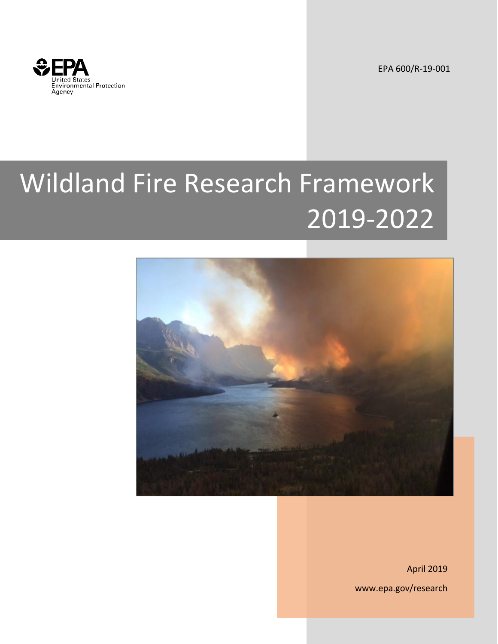

EPA 600/R-19-001

# Wildland Fire Research Framework 2019-2022



April 2019 www.epa.gov/research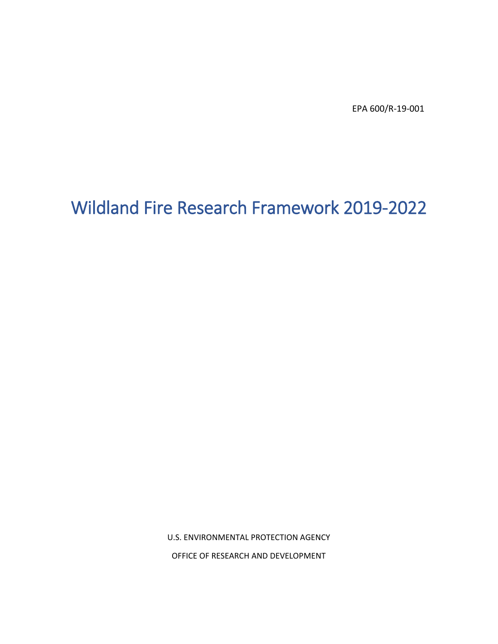EPA 600/R-19-001

# Wildland Fire Research Framework 2019-2022

U.S. ENVIRONMENTAL PROTECTION AGENCY OFFICE OF RESEARCH AND DEVELOPMENT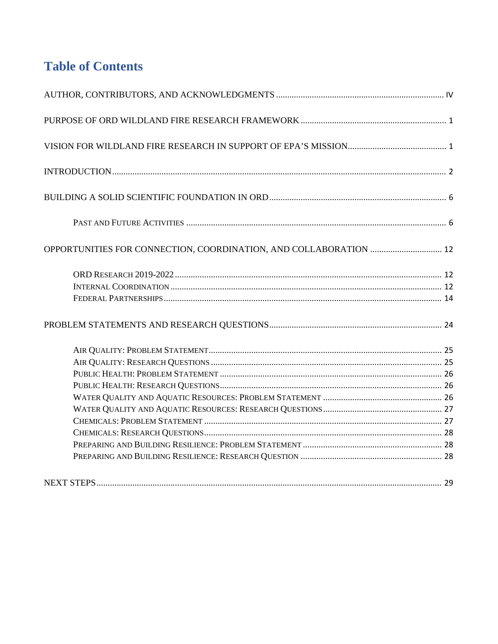# **Table of Contents**

| OPPORTUNITIES FOR CONNECTION, COORDINATION, AND COLLABORATION  12 |  |
|-------------------------------------------------------------------|--|
|                                                                   |  |
|                                                                   |  |
|                                                                   |  |
|                                                                   |  |
|                                                                   |  |
|                                                                   |  |
|                                                                   |  |
|                                                                   |  |
|                                                                   |  |
|                                                                   |  |
|                                                                   |  |
|                                                                   |  |
|                                                                   |  |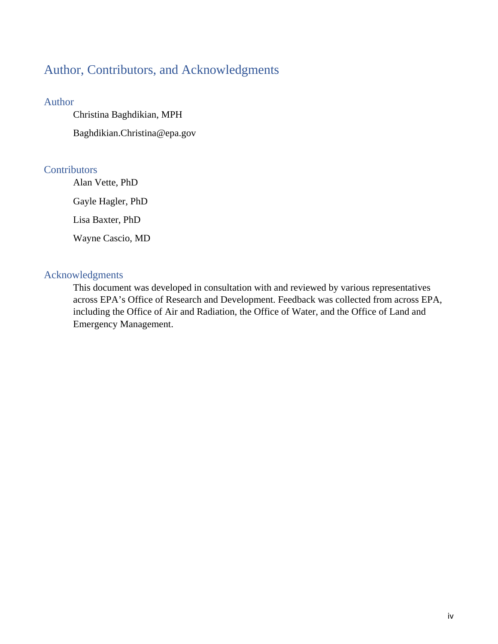# <span id="page-3-0"></span>Author, Contributors, and Acknowledgments

#### Author

Christina Baghdikian, MPH Baghdikian.Christina@epa.gov

# **Contributors**

Alan Vette, PhD Gayle Hagler, PhD Lisa Baxter, PhD Wayne Cascio, MD

# Acknowledgments

This document was developed in consultation with and reviewed by various representatives across EPA's Office of Research and Development. Feedback was collected from across EPA, including the Office of Air and Radiation, the Office of Water, and the Office of Land and Emergency Management.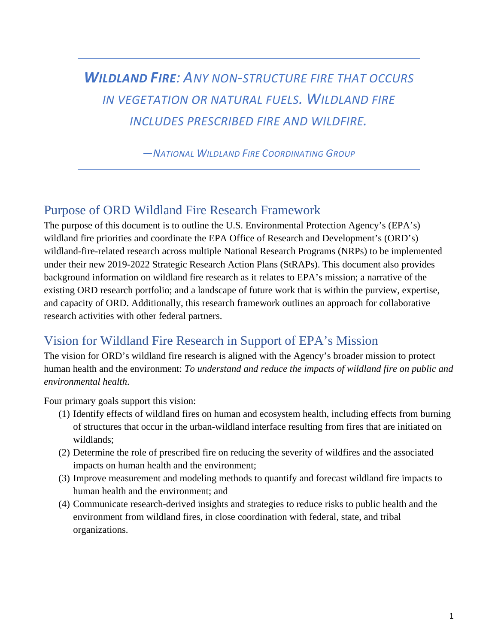# *WILDLAND FIRE: ANY NON-STRUCTURE FIRE THAT OCCURS IN VEGETATION OR NATURAL FUELS. WILDLAND FIRE INCLUDES PRESCRIBED FIRE AND WILDFIRE.*

*—NATIONAL WILDLAND FIRE COORDINATING GROUP*

# <span id="page-4-0"></span>Purpose of ORD Wildland Fire Research Framework

The purpose of this document is to outline the U.S. Environmental Protection Agency's (EPA's) wildland fire priorities and coordinate the EPA Office of Research and Development's (ORD's) wildland-fire-related research across multiple National Research Programs (NRPs) to be implemented under their new 2019-2022 Strategic Research Action Plans (StRAPs). This document also provides background information on wildland fire research as it relates to EPA's mission; a narrative of the existing ORD research portfolio; and a landscape of future work that is within the purview, expertise, and capacity of ORD. Additionally, this research framework outlines an approach for collaborative research activities with other federal partners.

# <span id="page-4-1"></span>Vision for Wildland Fire Research in Support of EPA's Mission

The vision for ORD's wildland fire research is aligned with the Agency's broader mission to protect human health and the environment: *To understand and reduce the impacts of wildland fire on public and environmental health*.

Four primary goals support this vision:

- (1) Identify effects of wildland fires on human and ecosystem health, including effects from burning of structures that occur in the urban-wildland interface resulting from fires that are initiated on wildlands;
- (2) Determine the role of prescribed fire on reducing the severity of wildfires and the associated impacts on human health and the environment;
- (3) Improve measurement and modeling methods to quantify and forecast wildland fire impacts to human health and the environment; and
- (4) Communicate research-derived insights and strategies to reduce risks to public health and the environment from wildland fires, in close coordination with federal, state, and tribal organizations.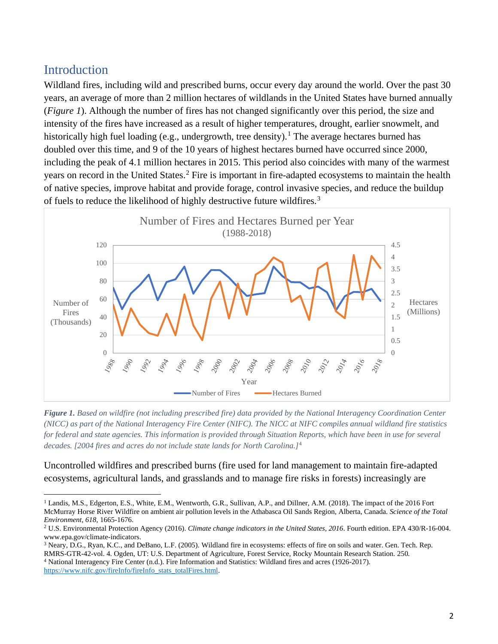# <span id="page-5-0"></span>**Introduction**

 $\overline{a}$ 

Wildland fires, including wild and prescribed burns, occur every day around the world. Over the past 30 years, an average of more than 2 million hectares of wildlands in the United States have burned annually (*Figure 1*). Although the number of fires has not changed significantly over this period, the size and intensity of the fires have increased as a result of higher temperatures, drought, earlier snowmelt, and historically high fuel loading (e.g., undergrowth, tree density).<sup>[1](#page-5-1)</sup> The average hectares burned has doubled over this time, and 9 of the 10 years of highest hectares burned have occurred since 2000, including the peak of 4.1 million hectares in 2015. This period also coincides with many of the warmest years on record in the United States.<sup>[2](#page-5-2)</sup> Fire is important in fire-adapted ecosystems to maintain the health of native species, improve habitat and provide forage, control invasive species, and reduce the buildup of fuels to reduce the likelihood of highly destructive future wildfires.[3](#page-5-3)





Uncontrolled wildfires and prescribed burns (fire used for land management to maintain fire-adapted ecosystems, agricultural lands, and grasslands and to manage fire risks in forests) increasingly are

<span id="page-5-1"></span><sup>&</sup>lt;sup>1</sup> Landis, M.S., Edgerton, E.S., White, E.M., Wentworth, G.R., Sullivan, A.P., and Dillner, A.M. (2018). The impact of the 2016 Fort McMurray Horse River Wildfire on ambient air pollution levels in the Athabasca Oil Sands Region, Alberta, Canada. *Science of the Total* 

<span id="page-5-2"></span>*Environment*, 618, 1665-1676.<br><sup>2</sup> U.S. Environmental Protection Agency (2016). *Climate change indicators in the United States, 2016*. Fourth edition. EPA 430/R-16-004.<br>www.epa.gov/climate-indicators.

<span id="page-5-3"></span><sup>&</sup>lt;sup>3</sup> Neary, D.G., Ryan, K.C., and DeBano, L.F. (2005). Wildland fire in ecosystems: effects of fire on soils and water. Gen. Tech. Rep.

<span id="page-5-4"></span>RMRS-GTR-42-vol. 4. Ogden, UT: U.S. Department of Agriculture, Forest Service, Rocky Mountain Research Station*.* 250*.* <sup>4</sup> National Interagency Fire Center (n.d.). Fire Information and Statistics: Wildland fires and acres (1926-2017). [https://www.nifc.gov/fireInfo/fireInfo\\_stats\\_totalFires.html.](https://www.nifc.gov/fireInfo/fireInfo_stats_totalFires.html)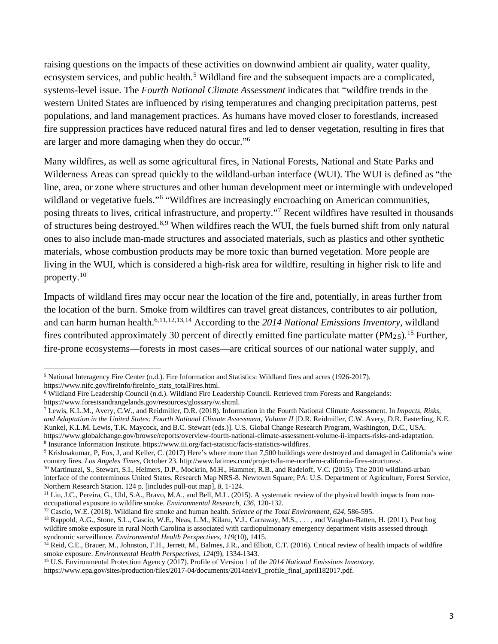raising questions on the impacts of these activities on downwind ambient air quality, water quality, ecosystem services, and public health.<sup>[5](#page-6-0)</sup> Wildland fire and the subsequent impacts are a complicated, systems-level issue. The *Fourth National Climate Assessment* indicates that "wildfire trends in the western United States are influenced by rising temperatures and changing precipitation patterns, pest populations, and land management practices. As humans have moved closer to forestlands, increased fire suppression practices have reduced natural fires and led to denser vegetation, resulting in fires that are larger and more damaging when they do occur."<sup>6</sup>

Many wildfires, as well as some agricultural fires, in National Forests, National and State Parks and Wilderness Areas can spread quickly to the wildland-urban interface (WUI). The WUI is defined as "the line, area, or zone where structures and other human development meet or intermingle with undeveloped wildland or vegetative fuels."<sup>[6](#page-6-1)</sup> "Wildfires are increasingly encroaching on American communities, posing threats to lives, critical infrastructure, and property."[7](#page-6-2) Recent wildfires have resulted in thousands of structures being destroyed.[8](#page-6-3),[9](#page-6-4) When wildfires reach the WUI, the fuels burned shift from only natural ones to also include man-made structures and associated materials, such as plastics and other synthetic materials, whose combustion products may be more toxic than burned vegetation. More people are living in the WUI, which is considered a high-risk area for wildfire, resulting in higher risk to life and property.[10](#page-6-5)

Impacts of wildland fires may occur near the location of the fire and, potentially, in areas further from the location of the burn. Smoke from wildfires can travel great distances, contributes to air pollution, and can harm human health.<sup>6,[11](#page-6-6),[12,](#page-6-7)[13](#page-6-8),[14](#page-6-9)</sup> According to the *2014 National Emissions Inventory*, wildland fires contributed approximately 30 percent of directly emitted fine particulate matter (PM $_{2.5}$ ).<sup>15</sup> Further, fire-prone ecosystems—forests in most cases—are critical sources of our national water supply, and

 $\overline{a}$ <sup>5</sup> National Interagency Fire Center (n.d.). Fire Information and Statistics: Wildland fires and acres (1926-2017).

<span id="page-6-0"></span>https://www.nifc.gov/fireInfo/fireInfo\_stats\_totalFires.html.

<span id="page-6-1"></span><sup>6</sup> Wildland Fire Leadership Council (n.d.). Wildland Fire Leadership Council. Retrieved from Forests and Rangelands: https://www.forestsandrangelands.gov/resources/glossary/w.shtml.

<span id="page-6-2"></span><sup>7</sup> Lewis, K.L.M., Avery, C.W., and Reidmiller, D.R. (2018). Information in the Fourth National Climate Assessment. In *Impacts, Risks,*  and Adaptation in the United States: Fourth National Climate Assessment, Volume II [D.R. Reidmiller, C.W. Avery, D.R. Easterling, K.E. Kunkel, K.L.M. Lewis, T.K. Maycock, and B.C. Stewart (eds.)]. U.S. Global Change Research Program, Washington, D.C., USA.

<span id="page-6-4"></span><span id="page-6-3"></span>https://www.globalchange.gov/browse/reports/overview-fourth-national-climate-assessment-volume-ii-impacts-risks-and-adaptation.<br>
<sup>8</sup> Insurance Information Institute. https://www.iii.org/fact-statistic/facts-statistics-wild

<span id="page-6-5"></span><sup>&</sup>lt;sup>10</sup> Martinuzzi, S., Stewart, S.I., Helmers, D.P., Mockrin, M.H., Hammer, R.B., and Radeloff, V.C. (2015). The 2010 wildland-urban interface of the conterminous United States. Research Map NRS-8. Newtown Square, PA: U.S. Department of Agriculture, Forest Service,

<span id="page-6-6"></span>Northern Research Station. 124 p. [includes pull-out map], *8*, 1-124.<br><sup>11</sup> Liu, J.C., Pereira, G., Uhl, S.A., Bravo, M.A., and Bell, M.L. (2015). A systematic review of the physical health impacts from non-<br>occupational e

<span id="page-6-8"></span><span id="page-6-7"></span><sup>&</sup>lt;sup>12</sup> Cascio, W.E. (2018). Wildland fire smoke and human health. Science of the Total Environment, 624, 586-595.<br><sup>13</sup> Rappold, A.G., Stone, S.L., Cascio, W.E., Neas, L.M., Kilaru, V.J., Carraway, M.S., . . . , and Vaughanwildfire smoke exposure in rural North Carolina is associated with cardiopulmonary emergency department visits assessed through syndromic surveillance. *Environmental Health Perspectives*, *119*(10), 1415.

<span id="page-6-9"></span><sup>&</sup>lt;sup>14</sup> Reid, C.E., Brauer, M., Johnston, F.H., Jerrett, M., Balmes, J.R., and Elliott, C.T. (2016). Critical review of health impacts of wildfire smoke exposure. *Environmental Health Perspectives*, *124*(9), 1334-1343. 15 U.S. Environmental Protection Agency (2017). Profile of Version 1 of the *2014 National Emissions Inventory*.

<span id="page-6-10"></span>https://www.epa.gov/sites/production/files/2017-04/documents/2014neiv1\_profile\_final\_april182017.pdf.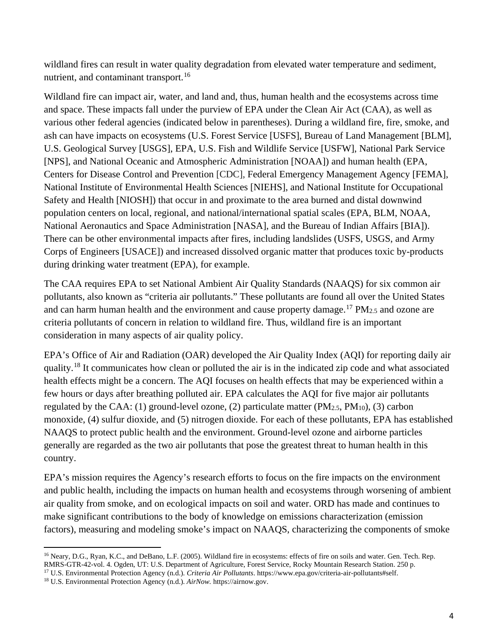wildland fires can result in water quality degradation from elevated water temperature and sediment, nutrient, and contaminant transport.<sup>[16](#page-7-0)</sup>

Wildland fire can impact air, water, and land and, thus, human health and the ecosystems across time and space. These impacts fall under the purview of EPA under the Clean Air Act (CAA), as well as various other federal agencies (indicated below in parentheses). During a wildland fire, fire, smoke, and ash can have impacts on ecosystems (U.S. Forest Service [USFS], Bureau of Land Management [BLM], U.S. Geological Survey [USGS], EPA, U.S. Fish and Wildlife Service [USFW], National Park Service [NPS], and National Oceanic and Atmospheric Administration [NOAA]) and human health (EPA, Centers for Disease Control and Prevention [CDC], Federal Emergency Management Agency [FEMA], National Institute of Environmental Health Sciences [NIEHS], and National Institute for Occupational Safety and Health [NIOSH]) that occur in and proximate to the area burned and distal downwind population centers on local, regional, and national/international spatial scales (EPA, BLM, NOAA, National Aeronautics and Space Administration [NASA], and the Bureau of Indian Affairs [BIA]). There can be other environmental impacts after fires, including landslides (USFS, USGS, and Army Corps of Engineers [USACE]) and increased dissolved organic matter that produces toxic by-products during drinking water treatment (EPA), for example.

The CAA requires EPA to set National Ambient Air Quality Standards (NAAQS) for six common air pollutants, also known as "criteria air pollutants." These pollutants are found all over the United States and can harm human health and the environment and cause property damage.<sup>[17](#page-7-1)</sup> PM<sub>2.5</sub> and ozone are criteria pollutants of concern in relation to wildland fire. Thus, wildland fire is an important consideration in many aspects of air quality policy.

EPA's Office of Air and Radiation (OAR) developed the Air Quality Index (AQI) for reporting daily air quality.[18](#page-7-2) It communicates how clean or polluted the air is in the indicated zip code and what associated health effects might be a concern. The AQI focuses on health effects that may be experienced within a few hours or days after breathing polluted air. EPA calculates the AQI for five major air pollutants regulated by the CAA: (1) ground-level ozone, (2) particulate matter (PM $_{2.5}$ , PM $_{10}$ ), (3) carbon monoxide, (4) sulfur dioxide, and (5) nitrogen dioxide. For each of these pollutants, EPA has established NAAQS to protect public health and the environment. Ground-level ozone and airborne particles generally are regarded as the two air pollutants that pose the greatest threat to human health in this country.

EPA's mission requires the Agency's research efforts to focus on the fire impacts on the environment and public health, including the impacts on human health and ecosystems through worsening of ambient air quality from smoke, and on ecological impacts on soil and water. ORD has made and continues to make significant contributions to the body of knowledge on emissions characterization (emission factors), measuring and modeling smoke's impact on NAAQS, characterizing the components of smoke

 $\overline{\phantom{a}}$ 

<span id="page-7-0"></span><sup>&</sup>lt;sup>16</sup> Neary, D.G., Ryan, K.C., and DeBano, L.F. (2005). Wildland fire in ecosystems: effects of fire on soils and water. Gen. Tech. Rep. RMRS-GTR-42-vol. 4. Ogden, UT: U.S. Department of Agriculture, Forest Service, Rocky Mountain Research Station. 250 p.

<span id="page-7-2"></span><span id="page-7-1"></span><sup>17</sup> U.S. Environmental Protection Agency (n.d.). *Criteria Air Pollutants*. https://www.epa.gov/criteria-air-pollutants#self. 18 U.S. Environmental Protection Agency (n.d.). *AirNow.* https://airnow.gov.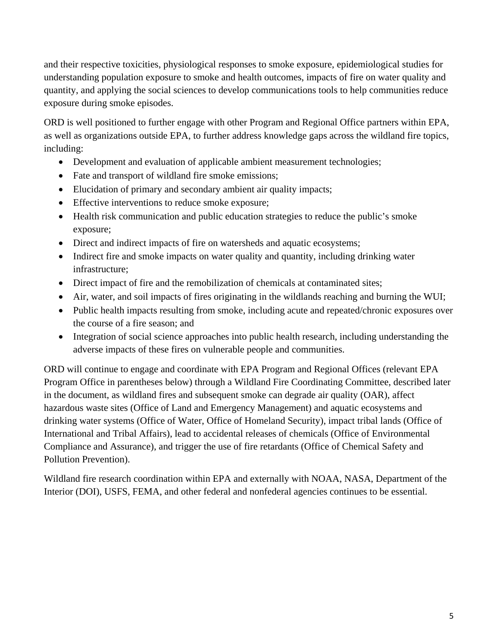and their respective toxicities, physiological responses to smoke exposure, epidemiological studies for understanding population exposure to smoke and health outcomes, impacts of fire on water quality and quantity, and applying the social sciences to develop communications tools to help communities reduce exposure during smoke episodes.

ORD is well positioned to further engage with other Program and Regional Office partners within EPA, as well as organizations outside EPA, to further address knowledge gaps across the wildland fire topics, including:

- Development and evaluation of applicable ambient measurement technologies;
- Fate and transport of wildland fire smoke emissions;
- Elucidation of primary and secondary ambient air quality impacts;
- Effective interventions to reduce smoke exposure;
- Health risk communication and public education strategies to reduce the public's smoke exposure;
- Direct and indirect impacts of fire on watersheds and aquatic ecosystems;
- Indirect fire and smoke impacts on water quality and quantity, including drinking water infrastructure;
- Direct impact of fire and the remobilization of chemicals at contaminated sites;
- Air, water, and soil impacts of fires originating in the wildlands reaching and burning the WUI;
- Public health impacts resulting from smoke, including acute and repeated/chronic exposures over the course of a fire season; and
- Integration of social science approaches into public health research, including understanding the adverse impacts of these fires on vulnerable people and communities.

ORD will continue to engage and coordinate with EPA Program and Regional Offices (relevant EPA Program Office in parentheses below) through a Wildland Fire Coordinating Committee, described later in the document, as wildland fires and subsequent smoke can degrade air quality (OAR), affect hazardous waste sites (Office of Land and Emergency Management) and aquatic ecosystems and drinking water systems (Office of Water, Office of Homeland Security), impact tribal lands (Office of International and Tribal Affairs), lead to accidental releases of chemicals (Office of Environmental Compliance and Assurance), and trigger the use of fire retardants (Office of Chemical Safety and Pollution Prevention).

Wildland fire research coordination within EPA and externally with NOAA, NASA, Department of the Interior (DOI), USFS, FEMA, and other federal and nonfederal agencies continues to be essential.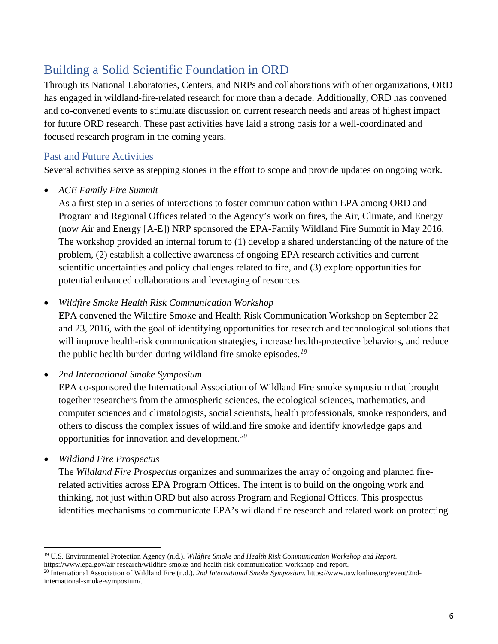# <span id="page-9-0"></span>Building a Solid Scientific Foundation in ORD

Through its National Laboratories, Centers, and NRPs and collaborations with other organizations, ORD has engaged in wildland-fire-related research for more than a decade. Additionally, ORD has convened and co-convened events to stimulate discussion on current research needs and areas of highest impact for future ORD research. These past activities have laid a strong basis for a well-coordinated and focused research program in the coming years.

# <span id="page-9-1"></span>Past and Future Activities

Several activities serve as stepping stones in the effort to scope and provide updates on ongoing work.

• *ACE Family Fire Summit*

As a first step in a series of interactions to foster communication within EPA among ORD and Program and Regional Offices related to the Agency's work on fires, the Air, Climate, and Energy (now Air and Energy [A-E]) NRP sponsored the EPA-Family Wildland Fire Summit in May 2016. The workshop provided an internal forum to (1) develop a shared understanding of the nature of the problem, (2) establish a collective awareness of ongoing EPA research activities and current scientific uncertainties and policy challenges related to fire, and (3) explore opportunities for potential enhanced collaborations and leveraging of resources.

• *Wildfire Smoke Health Risk Communication Workshop* 

EPA convened the Wildfire Smoke and Health Risk Communication Workshop on September 22 and 23, 2016, with the goal of identifying opportunities for research and technological solutions that will improve health-risk communication strategies, increase health-protective behaviors, and reduce the public health burden during wildland fire smoke episodes.*[19](#page-9-2)*

• *2nd International Smoke Symposium* 

EPA co-sponsored the International Association of Wildland Fire smoke symposium that brought together researchers from the atmospheric sciences, the ecological sciences, mathematics, and computer sciences and climatologists, social scientists, health professionals, smoke responders, and others to discuss the complex issues of wildland fire smoke and identify knowledge gaps and opportunities for innovation and development.*[20](#page-9-3)*

• *Wildland Fire Prospectus* 

 $\overline{\phantom{a}}$ 

The *Wildland Fire Prospectus* organizes and summarizes the array of ongoing and planned firerelated activities across EPA Program Offices. The intent is to build on the ongoing work and thinking, not just within ORD but also across Program and Regional Offices. This prospectus identifies mechanisms to communicate EPA's wildland fire research and related work on protecting

<span id="page-9-2"></span><sup>19</sup> U.S. Environmental Protection Agency (n.d.). *Wildfire Smoke and Health Risk Communication Workshop and Report.*

<span id="page-9-3"></span>https://www.epa.gov/air-research/wildfire-smoke-and-health-risk-communication-workshop-and-report.<br><sup>20</sup> International Association of Wildland Fire (n.d.). 2nd International Smoke Symposium. https://www.iawfonline.org/event international-smoke-symposium/.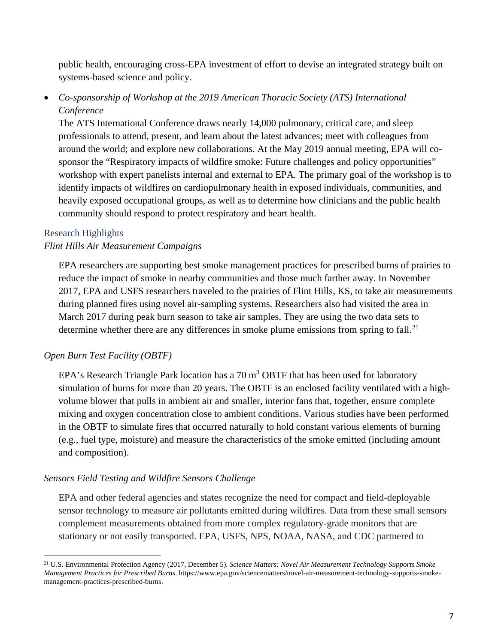public health, encouraging cross-EPA investment of effort to devise an integrated strategy built on systems-based science and policy.

# • *Co-sponsorship of Workshop at the 2019 American Thoracic Society (ATS) International Conference*

The ATS International Conference draws nearly 14,000 pulmonary, critical care, and sleep professionals to attend, present, and learn about the latest advances; meet with colleagues from around the world; and explore new collaborations. At the May 2019 annual meeting, EPA will cosponsor the "Respiratory impacts of wildfire smoke: Future challenges and policy opportunities" workshop with expert panelists internal and external to EPA. The primary goal of the workshop is to identify impacts of wildfires on cardiopulmonary health in exposed individuals, communities, and heavily exposed occupational groups, as well as to determine how clinicians and the public health community should respond to protect respiratory and heart health.

#### Research Highlights

l

### *Flint Hills Air Measurement Campaigns*

EPA researchers are supporting best smoke management practices for prescribed burns of prairies to reduce the impact of smoke in nearby communities and those much farther away. In November 2017, EPA and USFS researchers traveled to the prairies of Flint Hills, KS, to take air measurements during planned fires using novel air-sampling systems. Researchers also had visited the area in March 2017 during peak burn season to take air samples. They are using the two data sets to determine whether there are any differences in smoke plume emissions from spring to fall.<sup>[21](#page-10-0)</sup>

### *Open Burn Test Facility (OBTF)*

EPA's Research Triangle Park location has a  $70 \text{ m}^3$  OBTF that has been used for laboratory simulation of burns for more than 20 years. The OBTF is an enclosed facility ventilated with a highvolume blower that pulls in ambient air and smaller, interior fans that, together, ensure complete mixing and oxygen concentration close to ambient conditions. Various studies have been performed in the OBTF to simulate fires that occurred naturally to hold constant various elements of burning (e.g., fuel type, moisture) and measure the characteristics of the smoke emitted (including amount and composition).

### *Sensors Field Testing and Wildfire Sensors Challenge*

EPA and other federal agencies and states recognize the need for compact and field-deployable sensor technology to measure air pollutants emitted during wildfires. Data from these small sensors complement measurements obtained from more complex regulatory-grade monitors that are stationary or not easily transported. EPA, USFS, NPS, NOAA, NASA, and CDC partnered to

<span id="page-10-0"></span><sup>21</sup> U.S. Environmental Protection Agency (2017, December 5). *Science Matters: Novel Air Measurement Technology Supports Smoke Management Practices for Prescribed Burns*. https://www.epa.gov/sciencematters/novel-air-measurement-technology-supports-smokemanagement-practices-prescribed-burns.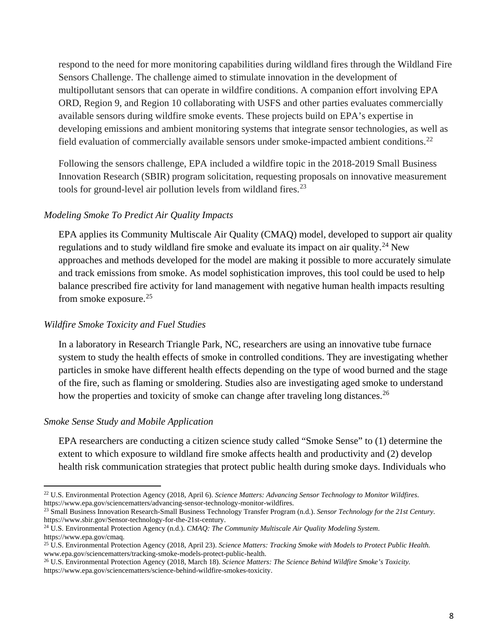respond to the need for more monitoring capabilities during wildland fires through the Wildland Fire Sensors Challenge. The challenge aimed to stimulate innovation in the development of multipollutant sensors that can operate in wildfire conditions. A companion effort involving EPA ORD, Region 9, and Region 10 collaborating with USFS and other parties evaluates commercially available sensors during wildfire smoke events. These projects build on EPA's expertise in developing emissions and ambient monitoring systems that integrate sensor technologies, as well as field evaluation of commercially available sensors under smoke-impacted ambient conditions.<sup>[22](#page-11-0)</sup>

Following the sensors challenge, EPA included a wildfire topic in the 2018-2019 Small Business Innovation Research (SBIR) program solicitation, requesting proposals on innovative measurement tools for ground-level air pollution levels from wildland fires. $^{23}$  $^{23}$  $^{23}$ 

#### *Modeling Smoke To Predict Air Quality Impacts*

EPA applies its Community Multiscale Air Quality (CMAQ) model, developed to support air quality regulations and to study wildland fire smoke and evaluate its impact on air quality.<sup>[24](#page-11-2)</sup> New approaches and methods developed for the model are making it possible to more accurately simulate and track emissions from smoke. As model sophistication improves, this tool could be used to help balance prescribed fire activity for land management with negative human health impacts resulting from smoke exposure.[25](#page-11-3)

#### *Wildfire Smoke Toxicity and Fuel Studies*

In a laboratory in Research Triangle Park, NC, researchers are using an innovative tube furnace system to study the health effects of smoke in controlled conditions. They are investigating whether particles in smoke have different health effects depending on the type of wood burned and the stage of the fire, such as flaming or smoldering. Studies also are investigating aged smoke to understand how the properties and toxicity of smoke can change after traveling long distances.<sup>[26](#page-11-4)</sup>

#### *Smoke Sense Study and Mobile Application*

l

EPA researchers are conducting a citizen science study called "Smoke Sense" to (1) determine the extent to which exposure to wildland fire smoke affects health and productivity and (2) develop health risk communication strategies that protect public health during smoke days. Individuals who

<span id="page-11-1"></span><sup>23</sup> Small Business Innovation Research-Small Business Technology Transfer Program (n.d.). *Sensor Technology for the 21st Century*.<br>https://www.sbir.gov/Sensor-technology-for-the-21st-century.

<span id="page-11-2"></span><sup>24</sup> U.S. Environmental Protection Agency (n.d.). *CMAQ: The Community Multiscale Air Quality Modeling System.* https://www.epa.gov/cmaq.

<span id="page-11-0"></span><sup>22</sup> U.S. Environmental Protection Agency (2018, April 6). *Science Matters: Advancing Sensor Technology to Monitor Wildfires*. https://www.epa.gov/sciencematters/advancing-sensor-technology-monitor-wildfires.

<span id="page-11-3"></span><sup>25</sup> U.S. Environmental Protection Agency (2018, April 23). *Science Matters: Tracking Smoke with Models to Protect Public Health.* www.epa.gov/sciencematters/tracking-smoke-models-protect-public-health.

<span id="page-11-4"></span><sup>26</sup> U.S. Environmental Protection Agency (2018, March 18). *Science Matters: The Science Behind Wildfire Smoke's Toxicity.* https://www.epa.gov/sciencematters/science-behind-wildfire-smokes-toxicity.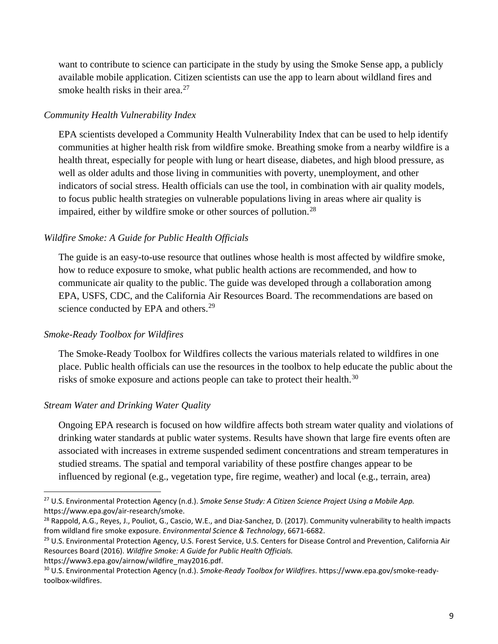want to contribute to science can participate in the study by using the Smoke Sense app, a publicly available mobile application. Citizen scientists can use the app to learn about wildland fires and smoke health risks in their area. $27$ 

#### *Community Health Vulnerability Index*

EPA scientists developed a Community Health Vulnerability Index that can be used to help identify communities at higher health risk from wildfire smoke. Breathing smoke from a nearby wildfire is a health threat, especially for people with lung or heart disease, diabetes, and high blood pressure, as well as older adults and those living in communities with poverty, unemployment, and other indicators of social stress. Health officials can use the tool, in combination with air quality models, to focus public health strategies on vulnerable populations living in areas where air quality is impaired, either by wildfire smoke or other sources of pollution.<sup>[28](#page-12-1)</sup>

#### *Wildfire Smoke: A Guide for Public Health Officials*

The guide is an easy-to-use resource that outlines whose health is most affected by wildfire smoke, how to reduce exposure to smoke, what public health actions are recommended, and how to communicate air quality to the public. The guide was developed through a collaboration among EPA, USFS, CDC, and the California Air Resources Board. The recommendations are based on science conducted by EPA and others.<sup>[29](#page-12-2)</sup>

#### *Smoke-Ready Toolbox for Wildfires*

The Smoke-Ready Toolbox for Wildfires collects the various materials related to wildfires in one place. Public health officials can use the resources in the toolbox to help educate the public about the risks of smoke exposure and actions people can take to protect their health.<sup>[30](#page-12-3)</sup>

#### *Stream Water and Drinking Water Quality*

l

Ongoing EPA research is focused on how wildfire affects both stream water quality and violations of drinking water standards at public water systems. Results have shown that large fire events often are associated with increases in extreme suspended sediment concentrations and stream temperatures in studied streams. The spatial and temporal variability of these postfire changes appear to be influenced by regional (e.g., vegetation type, fire regime, weather) and local (e.g., terrain, area)

<span id="page-12-3"></span>

<span id="page-12-0"></span><sup>27</sup> U.S. Environmental Protection Agency (n.d.). *Smoke Sense Study: A Citizen Science Project Using a Mobile App.* https://www.epa.gov/air-research/smoke.<br><sup>28</sup> Rappold, A.G., Reyes, J., Pouliot, G., Cascio, W.E., and Diaz-Sanchez, D. (2017). Community vulnerability to health impacts

<span id="page-12-1"></span>from wildland fire smoke exposure. *Environmental Science & Technology*, 6671-6682.

<span id="page-12-2"></span><sup>&</sup>lt;sup>29</sup> U.S. Environmental Protection Agency, U.S. Forest Service, U.S. Centers for Disease Control and Prevention, California Air Resources Board (2016). *Wildfire Smoke: A Guide for Public Health Officials.*

https://www3.epa.gov/airnow/wildfire\_may2016.pdf.<br><sup>30</sup> U.S. Environmental Protection Agency (n.d.). *Smoke-Ready Toolbox for Wildfires*. https://www.epa.gov/smoke-readytoolbox-wildfires.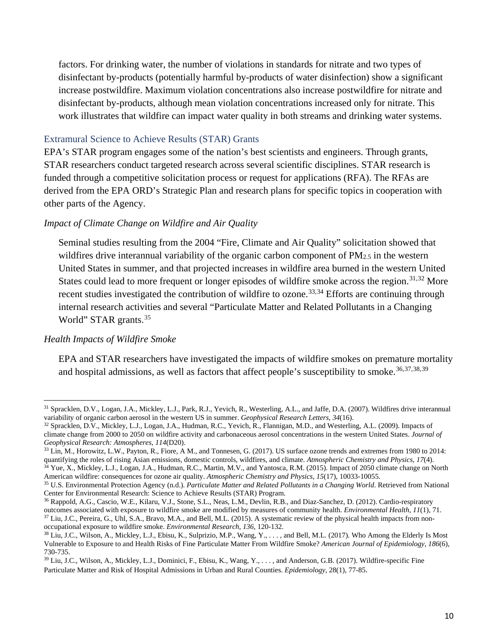factors. For drinking water, the number of violations in standards for nitrate and two types of disinfectant by-products (potentially harmful by-products of water disinfection) show a significant increase postwildfire. Maximum violation concentrations also increase postwildfire for nitrate and disinfectant by-products, although mean violation concentrations increased only for nitrate. This work illustrates that wildfire can impact water quality in both streams and drinking water systems.

#### Extramural Science to Achieve Results (STAR) Grants

EPA's STAR program engages some of the nation's best scientists and engineers. Through grants, STAR researchers conduct targeted research across several scientific disciplines. STAR research is funded through a competitive solicitation process or request for applications (RFA). The RFAs are derived from the EPA ORD's Strategic Plan and research plans for specific topics in cooperation with other parts of the Agency.

#### *Impact of Climate Change on Wildfire and Air Quality*

Seminal studies resulting from the 2004 "Fire, Climate and Air Quality" solicitation showed that wildfires drive interannual variability of the organic carbon component of  $PM_{2.5}$  in the western United States in summer, and that projected increases in wildfire area burned in the western United States could lead to more frequent or longer episodes of wildfire smoke across the region.<sup>[31,](#page-13-0)[32](#page-13-1)</sup> More recent studies investigated the contribution of wildfire to ozone.<sup>[33](#page-13-2),34</sup> Efforts are continuing through internal research activities and several "Particulate Matter and Related Pollutants in a Changing World" STAR grants.<sup>[35](#page-13-4)</sup>

#### *Health Impacts of Wildfire Smoke*

 $\overline{\phantom{a}}$ 

EPA and STAR researchers have investigated the impacts of wildfire smokes on premature mortality and hospital admissions, as well as factors that affect people's susceptibility to smoke.<sup>[36](#page-13-5),[37,](#page-13-6)[38](#page-13-7),[39](#page-13-8)</sup>

<span id="page-13-0"></span> $31$  Spracklen, D.V., Logan, J.A., Mickley, L.J., Park, R.J., Yevich, R., Westerling, A.L., and Jaffe, D.A. (2007). Wildfires drive interannual variability of organic carbon aerosol in the western US in summer. *Geophysic* 

<span id="page-13-1"></span><sup>32</sup> Spracklen, D.V., Mickley, L.J., Logan, J.A., Hudman, R.C., Yevich, R., Flannigan, M.D., and Westerling, A.L. (2009). Impacts of climate change from 2000 to 2050 on wildfire activity and carbonaceous aerosol concentrations in the western United States. *Journal of* 

<span id="page-13-2"></span><sup>&</sup>lt;sup>33</sup> Lin, M., Horowitz, L.W., Payton, R., Fiore, A M., and Tonnesen, G. (2017). US surface ozone trends and extremes from 1980 to 2014: quantifying the roles of rising Asian emissions, domestic controls, wildfires, and climate. Atmospheric Chemistry and Physics, 17(4).<br><sup>34</sup> Yue, X., Mickley, L.J., Logan, J.A., Hudman, R.C., Martin, M.V., and Yantosca, R.M.

<span id="page-13-3"></span>American wildfire: consequences for ozone air quality. Atmospheric Chemistry and Physics, 15(17), 10033-10055.<br><sup>35</sup> U.S. Environmental Protection Agency (n.d.). Particulate Matter and Related Pollutants in a Changing World

<span id="page-13-4"></span>Center for Environmental Research: Science to Achieve Results (STAR) Program.

<span id="page-13-5"></span><sup>&</sup>lt;sup>36</sup> Rappold, A.G., Cascio, W.E., Kilaru, V.J., Stone, S.L., Neas, L.M., Devlin, R.B., and Diaz-Sanchez, D. (2012). Cardio-respiratory outcomes associated with exposure to wildfire smoke are modified by measures of communi <sup>37</sup> Liu, J.C., Pereira, G., Uhl, S.A., Bravo, M.A., and Bell, M.L. (2015). A systematic review of the physical health impacts from non-

<span id="page-13-7"></span><span id="page-13-6"></span>occupational exposure to wildfire smoke. *Environmental Research*, 136, 120-132.<br><sup>38</sup> Liu, J.C., Wilson, A., Mickley, L.J., Ebisu, K., Sulprizio, M.P., Wang, Y., ..., and Bell, M.L. (2017). Who Among the Elderly Is Most Vulnerable to Exposure to and Health Risks of Fine Particulate Matter From Wildfire Smoke? *American Journal of Epidemiology*, *186*(6), 730-735.

<span id="page-13-8"></span><sup>39</sup> Liu, J.C., Wilson, A., Mickley, L.J., Dominici, F., Ebisu, K., Wang, Y., . . . , and Anderson, G.B. (2017). Wildfire-specific Fine Particulate Matter and Risk of Hospital Admissions in Urban and Rural Counties. *Epidemiology*, 28(1), 77-85.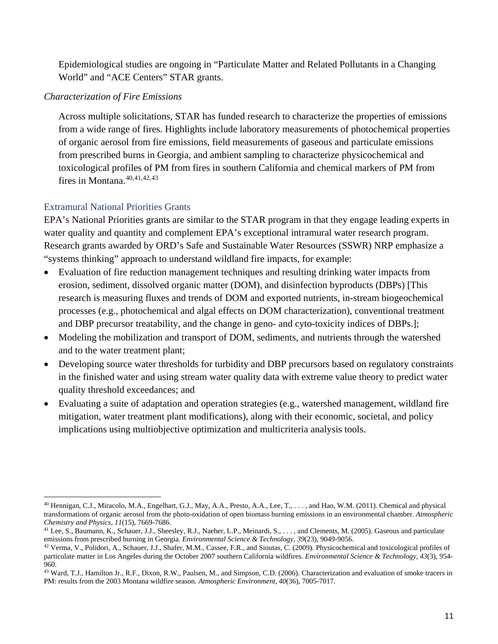Epidemiological studies are ongoing in "Particulate Matter and Related Pollutants in a Changing World" and "ACE Centers" STAR grants.

## *Characterization of Fire Emissions*

Across multiple solicitations, STAR has funded research to characterize the properties of emissions from a wide range of fires. Highlights include laboratory measurements of photochemical properties of organic aerosol from fire emissions, field measurements of gaseous and particulate emissions from prescribed burns in Georgia, and ambient sampling to characterize physicochemical and toxicological profiles of PM from fires in southern California and chemical markers of PM from fires in Montana. [40,](#page-14-0)[41](#page-14-1),[42,](#page-14-2)[43](#page-14-3)

# Extramural National Priorities Grants

EPA's National Priorities grants are similar to the STAR program in that they engage leading experts in water quality and quantity and complement EPA's exceptional intramural water research program. Research grants awarded by ORD's Safe and Sustainable Water Resources (SSWR) NRP emphasize a "systems thinking" approach to understand wildland fire impacts, for example:

- Evaluation of fire reduction management techniques and resulting drinking water impacts from erosion, sediment, dissolved organic matter (DOM), and disinfection byproducts (DBPs) [This research is measuring fluxes and trends of DOM and exported nutrients, in-stream biogeochemical processes (e.g., photochemical and algal effects on DOM characterization), conventional treatment and DBP precursor treatability, and the change in geno- and cyto-toxicity indices of DBPs.];
- Modeling the mobilization and transport of DOM, sediments, and nutrients through the watershed and to the water treatment plant;
- Developing source water thresholds for turbidity and DBP precursors based on regulatory constraints in the finished water and using stream water quality data with extreme value theory to predict water quality threshold exceedances; and
- Evaluating a suite of adaptation and operation strategies (e.g., watershed management, wildland fire mitigation, water treatment plant modifications), along with their economic, societal, and policy implications using multiobjective optimization and multicriteria analysis tools.

<span id="page-14-0"></span> $\overline{a}$ <sup>40</sup> Hennigan, C.J., Miracolo, M.A., Engelhart, G.J., May, A.A., Presto, A.A., Lee, T., . . . , and Hao, W.M. (2011). Chemical and physical transformations of organic aerosol from the photo-oxidation of open biomass burning emissions in an environmental chamber. *Atmospheric* 

<span id="page-14-1"></span><sup>&</sup>lt;sup>41</sup> Lee, S., Baumann, K., Schauer, J.J., Sheesley, R.J., Naeher, L.P., Meinardi, S., . . . , and Clements, M. (2005). Gaseous and particulate emissions from prescribed burning in Georgia. *Environmental Science & Technolo* 

<span id="page-14-2"></span><sup>&</sup>lt;sup>42</sup> Verma, V., Polidori, A., Schauer, J.J., Shafer, M.M., Cassee, F.R., and Sioutas, C. (2009). Physicochemical and toxicological profiles of particulate matter in Los Angeles during the October 2007 southern California wildfires. *Environmental Science & Technology*, *43*(3), 954- 960.

<span id="page-14-3"></span><sup>43</sup> Ward, T.J., Hamilton Jr., R.F., Dixon, R.W., Paulsen, M., and Simpson, C.D. (2006). Characterization and evaluation of smoke tracers in PM: results from the 2003 Montana wildfire season. *Atmospheric Environment*, *40*(36), 7005-7017.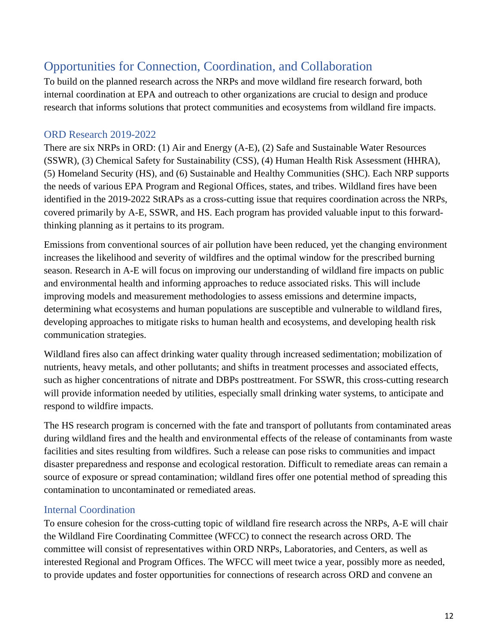# <span id="page-15-0"></span>Opportunities for Connection, Coordination, and Collaboration

To build on the planned research across the NRPs and move wildland fire research forward, both internal coordination at EPA and outreach to other organizations are crucial to design and produce research that informs solutions that protect communities and ecosystems from wildland fire impacts.

# <span id="page-15-1"></span>ORD Research 2019-2022

There are six NRPs in ORD: (1) Air and Energy (A-E), (2) Safe and Sustainable Water Resources (SSWR), (3) Chemical Safety for Sustainability (CSS), (4) Human Health Risk Assessment (HHRA), (5) Homeland Security (HS), and (6) Sustainable and Healthy Communities (SHC). Each NRP supports the needs of various EPA Program and Regional Offices, states, and tribes. Wildland fires have been identified in the 2019-2022 StRAPs as a cross-cutting issue that requires coordination across the NRPs, covered primarily by A-E, SSWR, and HS. Each program has provided valuable input to this forwardthinking planning as it pertains to its program.

Emissions from conventional sources of air pollution have been reduced, yet the changing environment increases the likelihood and severity of wildfires and the optimal window for the prescribed burning season. Research in A-E will focus on improving our understanding of wildland fire impacts on public and environmental health and informing approaches to reduce associated risks. This will include improving models and measurement methodologies to assess emissions and determine impacts, determining what ecosystems and human populations are susceptible and vulnerable to wildland fires, developing approaches to mitigate risks to human health and ecosystems, and developing health risk communication strategies.

Wildland fires also can affect drinking water quality through increased sedimentation; mobilization of nutrients, heavy metals, and other pollutants; and shifts in treatment processes and associated effects, such as higher concentrations of nitrate and DBPs posttreatment. For SSWR, this cross-cutting research will provide information needed by utilities, especially small drinking water systems, to anticipate and respond to wildfire impacts.

The HS research program is concerned with the fate and transport of pollutants from contaminated areas during wildland fires and the health and environmental effects of the release of contaminants from waste facilities and sites resulting from wildfires. Such a release can pose risks to communities and impact disaster preparedness and response and ecological restoration. Difficult to remediate areas can remain a source of exposure or spread contamination; wildland fires offer one potential method of spreading this contamination to uncontaminated or remediated areas.

# <span id="page-15-2"></span>Internal Coordination

To ensure cohesion for the cross-cutting topic of wildland fire research across the NRPs, A-E will chair the Wildland Fire Coordinating Committee (WFCC) to connect the research across ORD. The committee will consist of representatives within ORD NRPs, Laboratories, and Centers, as well as interested Regional and Program Offices. The WFCC will meet twice a year, possibly more as needed, to provide updates and foster opportunities for connections of research across ORD and convene an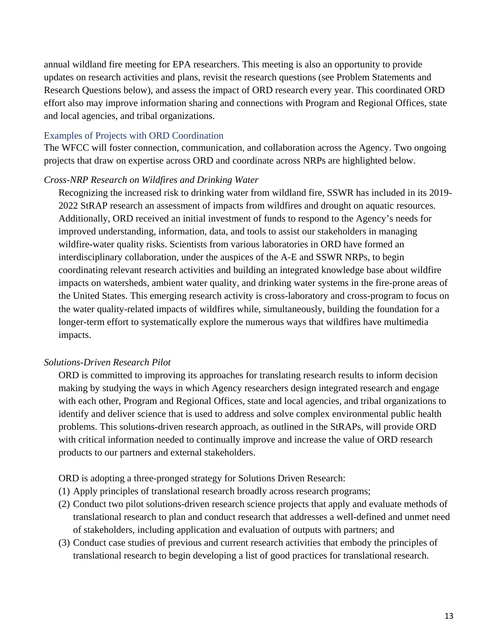annual wildland fire meeting for EPA researchers. This meeting is also an opportunity to provide updates on research activities and plans, revisit the research questions (see Problem Statements and Research Questions below), and assess the impact of ORD research every year. This coordinated ORD effort also may improve information sharing and connections with Program and Regional Offices, state and local agencies, and tribal organizations.

#### Examples of Projects with ORD Coordination

The WFCC will foster connection, communication, and collaboration across the Agency. Two ongoing projects that draw on expertise across ORD and coordinate across NRPs are highlighted below.

#### *Cross-NRP Research on Wildfires and Drinking Water*

Recognizing the increased risk to drinking water from wildland fire, SSWR has included in its 2019- 2022 StRAP research an assessment of impacts from wildfires and drought on aquatic resources. Additionally, ORD received an initial investment of funds to respond to the Agency's needs for improved understanding, information, data, and tools to assist our stakeholders in managing wildfire-water quality risks. Scientists from various laboratories in ORD have formed an interdisciplinary collaboration, under the auspices of the A-E and SSWR NRPs, to begin coordinating relevant research activities and building an integrated knowledge base about wildfire impacts on watersheds, ambient water quality, and drinking water systems in the fire-prone areas of the United States. This emerging research activity is cross-laboratory and cross-program to focus on the water quality-related impacts of wildfires while, simultaneously, building the foundation for a longer-term effort to systematically explore the numerous ways that wildfires have multimedia impacts.

#### *Solutions-Driven Research Pilot*

ORD is committed to improving its approaches for translating research results to inform decision making by studying the ways in which Agency researchers design integrated research and engage with each other, Program and Regional Offices, state and local agencies, and tribal organizations to identify and deliver science that is used to address and solve complex environmental public health problems. This solutions-driven research approach, as outlined in the StRAPs, will provide ORD with critical information needed to continually improve and increase the value of ORD research products to our partners and external stakeholders.

ORD is adopting a three-pronged strategy for Solutions Driven Research:

- (1) Apply principles of translational research broadly across research programs;
- (2) Conduct two pilot solutions-driven research science projects that apply and evaluate methods of translational research to plan and conduct research that addresses a well-defined and unmet need of stakeholders, including application and evaluation of outputs with partners; and
- (3) Conduct case studies of previous and current research activities that embody the principles of translational research to begin developing a list of good practices for translational research.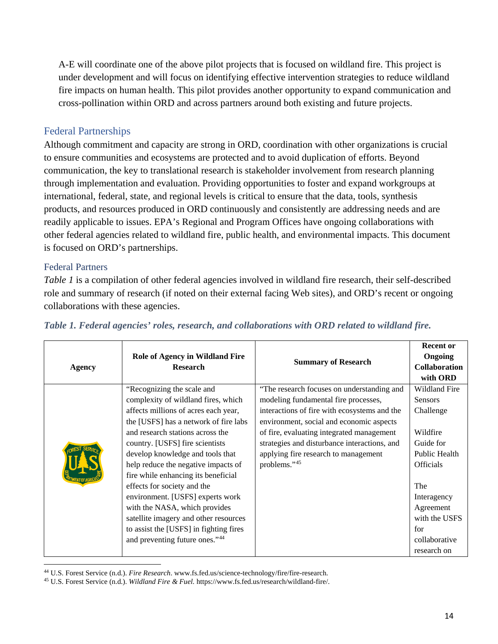A-E will coordinate one of the above pilot projects that is focused on wildland fire. This project is under development and will focus on identifying effective intervention strategies to reduce wildland fire impacts on human health. This pilot provides another opportunity to expand communication and cross-pollination within ORD and across partners around both existing and future projects.

# <span id="page-17-0"></span>Federal Partnerships

Although commitment and capacity are strong in ORD, coordination with other organizations is crucial to ensure communities and ecosystems are protected and to avoid duplication of efforts. Beyond communication, the key to translational research is stakeholder involvement from research planning through implementation and evaluation. Providing opportunities to foster and expand workgroups at international, federal, state, and regional levels is critical to ensure that the data, tools, synthesis products, and resources produced in ORD continuously and consistently are addressing needs and are readily applicable to issues. EPA's Regional and Program Offices have ongoing collaborations with other federal agencies related to wildland fire, public health, and environmental impacts. This document is focused on ORD's partnerships.

# Federal Partners

 $\overline{a}$ 

*Table 1* is a compilation of other federal agencies involved in wildland fire research, their self-described role and summary of research (if noted on their external facing Web sites), and ORD's recent or ongoing collaborations with these agencies.

| <b>Agency</b> | <b>Role of Agency in Wildland Fire</b><br><b>Research</b> | <b>Summary of Research</b>                   | <b>Recent or</b><br>Ongoing |
|---------------|-----------------------------------------------------------|----------------------------------------------|-----------------------------|
|               |                                                           |                                              | <b>Collaboration</b>        |
|               |                                                           |                                              | with ORD                    |
|               | "Recognizing the scale and                                | "The research focuses on understanding and   | Wildland Fire               |
|               | complexity of wildland fires, which                       | modeling fundamental fire processes,         | <b>Sensors</b>              |
|               | affects millions of acres each year,                      | interactions of fire with ecosystems and the | Challenge                   |
|               | the [USFS] has a network of fire labs                     | environment, social and economic aspects     |                             |
|               | and research stations across the                          | of fire, evaluating integrated management    | Wildfire                    |
|               | country. [USFS] fire scientists                           | strategies and disturbance interactions, and | Guide for                   |
|               | develop knowledge and tools that                          | applying fire research to management         | Public Health               |
|               | help reduce the negative impacts of                       | problems."45                                 | <b>Officials</b>            |
|               | fire while enhancing its beneficial                       |                                              |                             |
|               | effects for society and the                               |                                              | The                         |
|               | environment. [USFS] experts work                          |                                              | Interagency                 |
|               | with the NASA, which provides                             |                                              | Agreement                   |
|               | satellite imagery and other resources                     |                                              | with the USFS               |
|               | to assist the [USFS] in fighting fires                    |                                              | for                         |
|               | and preventing future ones."44                            |                                              | collaborative               |
|               |                                                           |                                              | research on                 |

# *Table 1. Federal agencies' roles, research, and collaborations with ORD related to wildland fire.*

<span id="page-17-1"></span><sup>44</sup> U.S. Forest Service (n.d.). *Fire Research*. www.fs.fed.us/science-technology/fire/fire-research.

<span id="page-17-2"></span><sup>45</sup> U.S. Forest Service (n.d.). *Wildland Fire & Fuel.* https://www.fs.fed.us/research/wildland-fire/.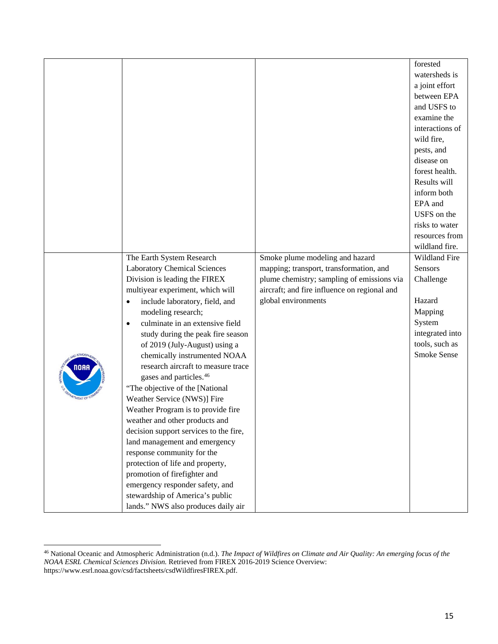|                    |                                             |                                              | forested           |
|--------------------|---------------------------------------------|----------------------------------------------|--------------------|
|                    |                                             |                                              | watersheds is      |
|                    |                                             |                                              | a joint effort     |
|                    |                                             |                                              | between EPA        |
|                    |                                             |                                              | and USFS to        |
|                    |                                             |                                              | examine the        |
|                    |                                             |                                              | interactions of    |
|                    |                                             |                                              | wild fire,         |
|                    |                                             |                                              | pests, and         |
|                    |                                             |                                              | disease on         |
|                    |                                             |                                              | forest health.     |
|                    |                                             |                                              | Results will       |
|                    |                                             |                                              | inform both        |
|                    |                                             |                                              | EPA and            |
|                    |                                             |                                              | USFS on the        |
|                    |                                             |                                              | risks to water     |
|                    |                                             |                                              | resources from     |
|                    |                                             |                                              | wildland fire.     |
|                    | The Earth System Research                   | Smoke plume modeling and hazard              | Wildland Fire      |
|                    | <b>Laboratory Chemical Sciences</b>         | mapping; transport, transformation, and      | Sensors            |
|                    | Division is leading the FIREX               | plume chemistry; sampling of emissions via   | Challenge          |
|                    | multiyear experiment, which will            | aircraft; and fire influence on regional and |                    |
|                    | include laboratory, field, and<br>$\bullet$ | global environments                          | Hazard             |
|                    | modeling research;                          |                                              | Mapping            |
|                    | culminate in an extensive field             |                                              | System             |
|                    | study during the peak fire season           |                                              | integrated into    |
|                    | of 2019 (July-August) using a               |                                              | tools, such as     |
|                    | chemically instrumented NOAA                |                                              | <b>Smoke Sense</b> |
| NOAA               | research aircraft to measure trace          |                                              |                    |
|                    | gases and particles. <sup>46</sup>          |                                              |                    |
|                    | "The objective of the [National             |                                              |                    |
| <b>RTMENT OF C</b> | Weather Service (NWS)] Fire                 |                                              |                    |
|                    | Weather Program is to provide fire          |                                              |                    |
|                    | weather and other products and              |                                              |                    |
|                    | decision support services to the fire,      |                                              |                    |
|                    | land management and emergency               |                                              |                    |
|                    | response community for the                  |                                              |                    |
|                    | protection of life and property,            |                                              |                    |
|                    | promotion of firefighter and                |                                              |                    |
|                    | emergency responder safety, and             |                                              |                    |
|                    | stewardship of America's public             |                                              |                    |
|                    | lands." NWS also produces daily air         |                                              |                    |
|                    |                                             |                                              |                    |

 $\overline{\phantom{a}}$ 

<span id="page-18-0"></span><sup>46</sup> National Oceanic and Atmospheric Administration (n.d.). *The Impact of Wildfires on Climate and Air Quality: An emerging focus of the NOAA ESRL Chemical Sciences Division.* Retrieved from FIREX 2016-2019 Science Overview: https://www.esrl.noaa.gov/csd/factsheets/csdWildfiresFIREX.pdf.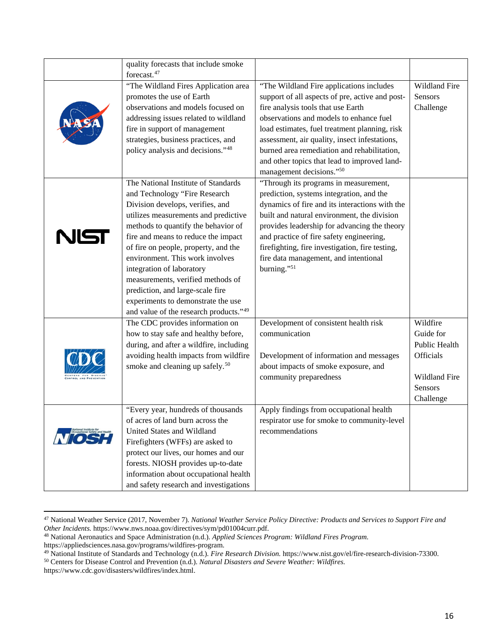|    | quality forecasts that include smoke        |                                                 |               |
|----|---------------------------------------------|-------------------------------------------------|---------------|
|    | forecast. <sup>47</sup>                     |                                                 |               |
|    | "The Wildland Fires Application area        | "The Wildland Fire applications includes        | Wildland Fire |
|    | promotes the use of Earth                   | support of all aspects of pre, active and post- | Sensors       |
|    | observations and models focused on          | fire analysis tools that use Earth              | Challenge     |
|    | addressing issues related to wildland       | observations and models to enhance fuel         |               |
|    | fire in support of management               | load estimates, fuel treatment planning, risk   |               |
|    | strategies, business practices, and         | assessment, air quality, insect infestations,   |               |
|    | policy analysis and decisions."48           | burned area remediation and rehabilitation,     |               |
|    |                                             | and other topics that lead to improved land-    |               |
|    |                                             | management decisions."50                        |               |
|    | The National Institute of Standards         | "Through its programs in measurement,           |               |
|    | and Technology "Fire Research               | prediction, systems integration, and the        |               |
|    | Division develops, verifies, and            | dynamics of fire and its interactions with the  |               |
|    | utilizes measurements and predictive        | built and natural environment, the division     |               |
|    | methods to quantify the behavior of         | provides leadership for advancing the theory    |               |
| NG | fire and means to reduce the impact         | and practice of fire safety engineering,        |               |
|    | of fire on people, property, and the        | firefighting, fire investigation, fire testing, |               |
|    | environment. This work involves             | fire data management, and intentional           |               |
|    | integration of laboratory                   | burning."51                                     |               |
|    | measurements, verified methods of           |                                                 |               |
|    | prediction, and large-scale fire            |                                                 |               |
|    | experiments to demonstrate the use          |                                                 |               |
|    | and value of the research products."49      |                                                 |               |
|    | The CDC provides information on             | Development of consistent health risk           | Wildfire      |
|    | how to stay safe and healthy before,        | communication                                   | Guide for     |
|    | during, and after a wildfire, including     |                                                 | Public Health |
|    | avoiding health impacts from wildfire       | Development of information and messages         | Officials     |
|    | smoke and cleaning up safely. <sup>50</sup> | about impacts of smoke exposure, and            |               |
|    |                                             | community preparedness                          | Wildland Fire |
|    |                                             |                                                 | Sensors       |
|    |                                             |                                                 | Challenge     |
|    | "Every year, hundreds of thousands          | Apply findings from occupational health         |               |
|    | of acres of land burn across the            | respirator use for smoke to community-level     |               |
|    | United States and Wildland                  | recommendations                                 |               |
|    | Firefighters (WFFs) are asked to            |                                                 |               |
|    | protect our lives, our homes and our        |                                                 |               |
|    | forests. NIOSH provides up-to-date          |                                                 |               |
|    | information about occupational health       |                                                 |               |
|    | and safety research and investigations      |                                                 |               |

<span id="page-19-0"></span><sup>47</sup> National Weather Service (2017, November 7). *National Weather Service Policy Directive: Products and Services to Support Fire and Other Incidents.* https://www.nws.noaa.gov/directives/sym/pd01004curr.pdf.

l

<span id="page-19-1"></span><sup>48</sup> National Aeronautics and Space Administration (n.d.). *Applied Sciences Program: Wildland Fires Program.* https://appliedsciences.nasa.gov/programs/wildfires-program.

<span id="page-19-2"></span><sup>&</sup>lt;sup>49</sup> National Institute of Standards and Technology (n.d.). *Fire Research Division*. https://www.nist.gov/el/fire-research-division-73300.<br><sup>50</sup> Centers for Disease Control and Prevention (n.d.). *Natural Disasters and Sev* 

<span id="page-19-3"></span>https://www.cdc.gov/disasters/wildfires/index.html.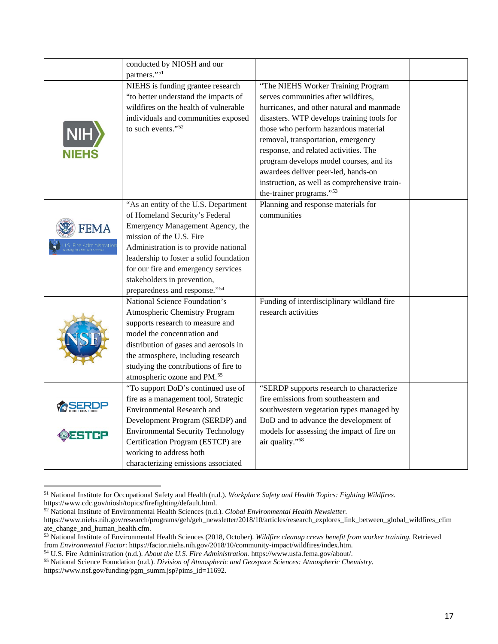|              | conducted by NIOSH and our<br>partners." <sup>51</sup> |                                              |  |
|--------------|--------------------------------------------------------|----------------------------------------------|--|
|              |                                                        |                                              |  |
|              | NIEHS is funding grantee research                      | "The NIEHS Worker Training Program           |  |
|              | "to better understand the impacts of                   | serves communities after wildfires,          |  |
|              | wildfires on the health of vulnerable                  | hurricanes, and other natural and manmade    |  |
|              | individuals and communities exposed                    | disasters. WTP develops training tools for   |  |
|              | to such events." <sup>52</sup>                         | those who perform hazardous material         |  |
|              |                                                        | removal, transportation, emergency           |  |
| <b>NIEHS</b> |                                                        | response, and related activities. The        |  |
|              |                                                        | program develops model courses, and its      |  |
|              |                                                        | awardees deliver peer-led, hands-on          |  |
|              |                                                        | instruction, as well as comprehensive train- |  |
|              |                                                        | the-trainer programs."53                     |  |
|              | "As an entity of the U.S. Department                   | Planning and response materials for          |  |
|              | of Homeland Security's Federal                         | communities                                  |  |
|              | Emergency Management Agency, the                       |                                              |  |
|              | mission of the U.S. Fire                               |                                              |  |
|              | Administration is to provide national                  |                                              |  |
|              | leadership to foster a solid foundation                |                                              |  |
|              | for our fire and emergency services                    |                                              |  |
|              | stakeholders in prevention,                            |                                              |  |
|              | preparedness and response." <sup>54</sup>              |                                              |  |
|              | National Science Foundation's                          | Funding of interdisciplinary wildland fire   |  |
|              | Atmospheric Chemistry Program                          | research activities                          |  |
|              | supports research to measure and                       |                                              |  |
|              | model the concentration and                            |                                              |  |
|              | distribution of gases and aerosols in                  |                                              |  |
|              | the atmosphere, including research                     |                                              |  |
|              | studying the contributions of fire to                  |                                              |  |
|              | atmospheric ozone and PM. <sup>55</sup>                |                                              |  |
|              | "To support DoD's continued use of                     | "SERDP supports research to characterize     |  |
|              | fire as a management tool, Strategic                   | fire emissions from southeastern and         |  |
|              | <b>Environmental Research and</b>                      | southwestern vegetation types managed by     |  |
|              | Development Program (SERDP) and                        | DoD and to advance the development of        |  |
|              | <b>Environmental Security Technology</b>               | models for assessing the impact of fire on   |  |
|              | Certification Program (ESTCP) are                      | air quality." <sup>68</sup>                  |  |
|              | working to address both                                |                                              |  |
|              | characterizing emissions associated                    |                                              |  |

<span id="page-20-0"></span><sup>51</sup> National Institute for Occupational Safety and Health (n.d.). *Workplace Safety and Health Topics: Fighting Wildfires.* https://www.cdc.gov/niosh/topics/firefighting/default.html.

l

<span id="page-20-1"></span><sup>52</sup> National Institute of Environmental Health Sciences (n.d.). *Global Environmental Health Newsletter.*

https://www.niehs.nih.gov/research/programs/geh/geh\_newsletter/2018/10/articles/research\_explores\_link\_between\_global\_wildfires\_clim ate\_change\_and\_human\_health.cfm.

<span id="page-20-2"></span><sup>53</sup> National Institute of Environmental Health Sciences (2018, October). *Wildfire cleanup crews benefit from worker training.* Retrieved from *Environmental Factor*: https://factor.niehs.nih.gov/2018/10/community-impact/wildfires/index.htm.<br><sup>54</sup> U.S. Fire Administration (n.d.). About the U.S. Fire Administration. https://www.usfa.fema.gov/about/.

<span id="page-20-3"></span>

<span id="page-20-4"></span><sup>55</sup> National Science Foundation (n.d.). Division of Atmospheric and Geospace Sciences: Atmospheric Chemistry. https://www.nsf.gov/funding/pgm\_summ.jsp?pims\_id=11692.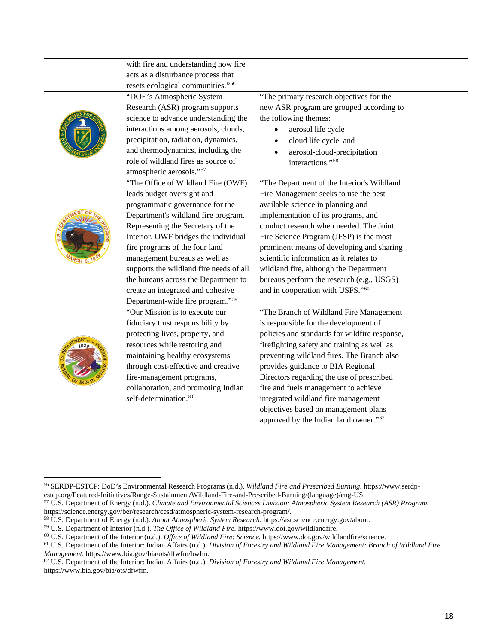| with fire and understanding how fire         |                                                   |  |
|----------------------------------------------|---------------------------------------------------|--|
| acts as a disturbance process that           |                                                   |  |
| resets ecological communities."56            |                                                   |  |
| "DOE's Atmospheric System                    | "The primary research objectives for the          |  |
| Research (ASR) program supports              | new ASR program are grouped according to          |  |
| science to advance understanding the         | the following themes:                             |  |
| interactions among aerosols, clouds,         | aerosol life cycle                                |  |
| precipitation, radiation, dynamics,          | cloud life cycle, and                             |  |
| and thermodynamics, including the            | aerosol-cloud-precipitation                       |  |
| role of wildland fires as source of          | interactions." <sup>58</sup>                      |  |
| atmospheric aerosols."57                     |                                                   |  |
| "The Office of Wildland Fire (OWF)           | "The Department of the Interior's Wildland        |  |
| leads budget oversight and                   | Fire Management seeks to use the best             |  |
| programmatic governance for the              | available science in planning and                 |  |
| Department's wildland fire program.          | implementation of its programs, and               |  |
| Representing the Secretary of the            | conduct research when needed. The Joint           |  |
| Interior, OWF bridges the individual         | Fire Science Program (JFSP) is the most           |  |
| fire programs of the four land               | prominent means of developing and sharing         |  |
| management bureaus as well as                | scientific information as it relates to           |  |
| supports the wildland fire needs of all      | wildland fire, although the Department            |  |
| the bureaus across the Department to         | bureaus perform the research (e.g., USGS)         |  |
| create an integrated and cohesive            | and in cooperation with USFS."60                  |  |
| Department-wide fire program." <sup>59</sup> |                                                   |  |
| "Our Mission is to execute our               | "The Branch of Wildland Fire Management           |  |
| fiduciary trust responsibility by            | is responsible for the development of             |  |
| protecting lives, property, and              | policies and standards for wildfire response,     |  |
| resources while restoring and                | firefighting safety and training as well as       |  |
| maintaining healthy ecosystems               | preventing wildland fires. The Branch also        |  |
| through cost-effective and creative          | provides guidance to BIA Regional                 |  |
| fire-management programs,                    | Directors regarding the use of prescribed         |  |
| collaboration, and promoting Indian          | fire and fuels management to achieve              |  |
| self-determination." <sup>61</sup>           | integrated wildland fire management               |  |
|                                              | objectives based on management plans              |  |
|                                              | approved by the Indian land owner." <sup>62</sup> |  |

<span id="page-21-0"></span> $\overline{\phantom{a}}$ <sup>56</sup> SERDP-ESTCP: DoD's Environmental Research Programs (n.d.). *Wildland Fire and Prescribed Burning.* https://www.serdpestcp.org/Featured-Initiatives/Range-Sustainment/Wildland-Fire-and-Prescribed-Burning/(language)/eng-US.

<span id="page-21-1"></span><sup>57</sup> U.S. Department of Energy (n.d.). *Climate and Environmental Sciences Division: Atmospheric System Research (ASR) Program.*

<span id="page-21-2"></span><sup>&</sup>lt;sup>58</sup> U.S. Department of Energy (n.d.). *About Atmospheric System Research*. https://asr.science.energy.gov/about.

<span id="page-21-3"></span><sup>&</sup>lt;sup>59</sup> U.S. Department of Interior (n.d.). *The Office of Wildland Fire.* https://www.doi.gov/wildlandfire.<br><sup>60</sup> U.S. Department of the Interior (n.d.). *Office of Wildland Fire: Science*. https://www.doi.gov/wildlandfire/sc

<span id="page-21-4"></span>

<span id="page-21-5"></span><sup>&</sup>lt;sup>61</sup> U.S. Department of the Interior: Indian Affairs (n.d.). Division of Forestry and Wildland Fire Management: Branch of Wildland Fire *Management.* https://www.bia.gov/bia/ots/dfwfm/bwfm.

<span id="page-21-6"></span><sup>62</sup> U.S. Department of the Interior: Indian Affairs (n.d.). *Division of Forestry and Wildland Fire Management.* https://www.bia.gov/bia/ots/dfwfm.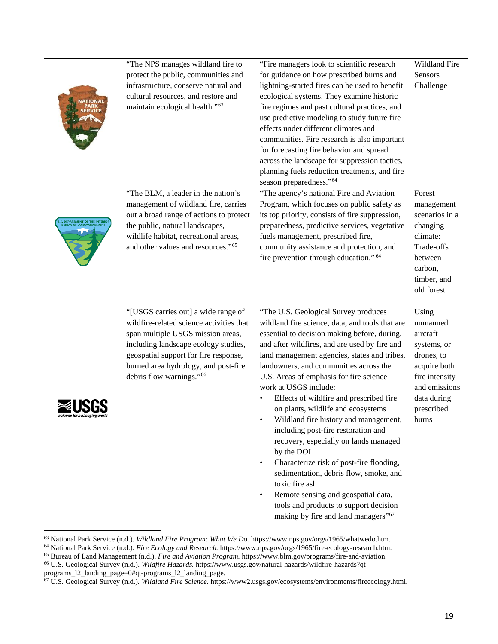|                                                          | "The NPS manages wildland fire to              | "Fire managers look to scientific research                                   | Wildland Fire  |
|----------------------------------------------------------|------------------------------------------------|------------------------------------------------------------------------------|----------------|
|                                                          | protect the public, communities and            | for guidance on how prescribed burns and                                     | Sensors        |
|                                                          | infrastructure, conserve natural and           | lightning-started fires can be used to benefit                               | Challenge      |
|                                                          | cultural resources, and restore and            | ecological systems. They examine historic                                    |                |
|                                                          | maintain ecological health." <sup>63</sup>     | fire regimes and past cultural practices, and                                |                |
|                                                          |                                                | use predictive modeling to study future fire                                 |                |
|                                                          |                                                | effects under different climates and                                         |                |
|                                                          |                                                | communities. Fire research is also important                                 |                |
|                                                          |                                                | for forecasting fire behavior and spread                                     |                |
|                                                          |                                                | across the landscape for suppression tactics,                                |                |
|                                                          |                                                | planning fuels reduction treatments, and fire                                |                |
|                                                          |                                                | season preparedness." <sup>64</sup>                                          |                |
|                                                          | "The BLM, a leader in the nation's             | "The agency's national Fire and Aviation                                     | Forest         |
|                                                          | management of wildland fire, carries           | Program, which focuses on public safety as                                   | management     |
|                                                          | out a broad range of actions to protect        | its top priority, consists of fire suppression,                              | scenarios in a |
| . DEPARTMENT OF THE INTERIC<br>BUREAU OF LAND MANAGEMENT | the public, natural landscapes,                | preparedness, predictive services, vegetative                                | changing       |
|                                                          | wildlife habitat, recreational areas,          | fuels management, prescribed fire,                                           | climate:       |
|                                                          | and other values and resources." <sup>65</sup> | community assistance and protection, and                                     | Trade-offs     |
|                                                          |                                                | fire prevention through education." 64                                       | between        |
|                                                          |                                                |                                                                              | carbon,        |
|                                                          |                                                |                                                                              | timber, and    |
|                                                          |                                                |                                                                              | old forest     |
|                                                          | "[USGS carries out] a wide range of            | "The U.S. Geological Survey produces                                         | Using          |
|                                                          | wildfire-related science activities that       | wildland fire science, data, and tools that are                              | unmanned       |
|                                                          | span multiple USGS mission areas,              | essential to decision making before, during,                                 | aircraft       |
|                                                          | including landscape ecology studies,           | and after wildfires, and are used by fire and                                | systems, or    |
|                                                          | geospatial support for fire response,          | land management agencies, states and tribes,                                 | drones, to     |
|                                                          | burned area hydrology, and post-fire           | landowners, and communities across the                                       | acquire both   |
|                                                          | debris flow warnings." <sup>66</sup>           | U.S. Areas of emphasis for fire science                                      | fire intensity |
|                                                          |                                                | work at USGS include:                                                        | and emissions  |
|                                                          |                                                | Effects of wildfire and prescribed fire<br>$\bullet$                         | data during    |
| cience for a changing work                               |                                                | on plants, wildlife and ecosystems                                           | prescribed     |
|                                                          |                                                | Wildland fire history and management,<br>$\bullet$                           | burns          |
|                                                          |                                                | including post-fire restoration and<br>recovery, especially on lands managed |                |
|                                                          |                                                | by the DOI                                                                   |                |
|                                                          |                                                | Characterize risk of post-fire flooding,<br>$\bullet$                        |                |
|                                                          |                                                | sedimentation, debris flow, smoke, and                                       |                |
|                                                          |                                                | toxic fire ash                                                               |                |
|                                                          |                                                | Remote sensing and geospatial data,<br>$\bullet$                             |                |
|                                                          |                                                | tools and products to support decision                                       |                |
|                                                          |                                                | making by fire and land managers" <sup>67</sup>                              |                |

<sup>63</sup> National Park Service (n.d.). Wildland Fire Program: What We Do. https://www.nps.gov/orgs/1965/whatwedo.htm.

programs\_l2\_landing\_page=0#qt-programs\_l2\_landing\_page.

<span id="page-22-1"></span><span id="page-22-0"></span><sup>&</sup>lt;sup>64</sup> National Park Service (n.d.). Fire Ecology and Research. https://www.nps.gov/orgs/1965/fire-ecology-research.htm.

<span id="page-22-3"></span><span id="page-22-2"></span><sup>65</sup> Bureau of Land Management (n.d.). *Fire and Aviation Program.* https://www.blm.gov/programs/fire-and-aviation.

<sup>66</sup> U.S. Geological Survey (n.d.). *Wildfire Hazards.* https://www.usgs.gov/natural-hazards/wildfire-hazards?qt-

<span id="page-22-4"></span><sup>67</sup> U.S. Geological Survey (n.d.). *Wildland Fire Science.* https://www2.usgs.gov/ecosystems/environments/fireecology.html.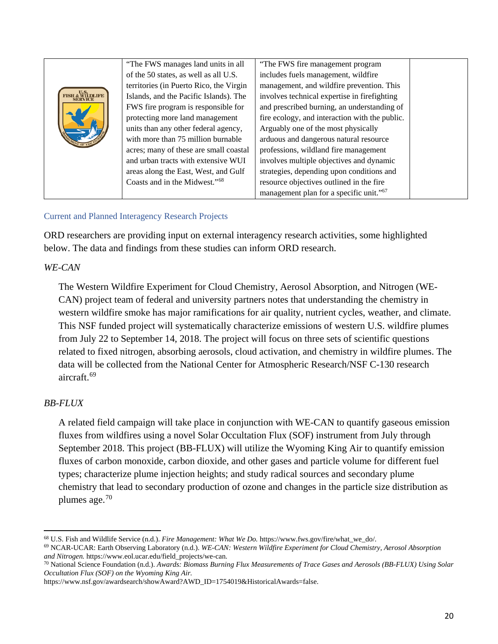|                                    | "The FWS manages land units in all        | "The FWS fire management program                    |
|------------------------------------|-------------------------------------------|-----------------------------------------------------|
|                                    | of the 50 states, as well as all U.S.     | includes fuels management, wildfire                 |
|                                    | territories (in Puerto Rico, the Virgin   | management, and wildfire prevention. This           |
| U.S.<br>FISH & WILDLIFE<br>SERVICE | Islands, and the Pacific Islands). The    | involves technical expertise in firefighting        |
|                                    | FWS fire program is responsible for       | and prescribed burning, an understanding of         |
|                                    | protecting more land management           | fire ecology, and interaction with the public.      |
|                                    | units than any other federal agency,      | Arguably one of the most physically                 |
|                                    | with more than 75 million burnable        | arduous and dangerous natural resource              |
|                                    | acres; many of these are small coastal    | professions, wildland fire management               |
|                                    | and urban tracts with extensive WUI       | involves multiple objectives and dynamic            |
|                                    | areas along the East, West, and Gulf      | strategies, depending upon conditions and           |
|                                    | Coasts and in the Midwest." <sup>68</sup> | resource objectives outlined in the fire            |
|                                    |                                           | management plan for a specific unit." <sup>67</sup> |

#### Current and Planned Interagency Research Projects

ORD researchers are providing input on external interagency research activities, some highlighted below. The data and findings from these studies can inform ORD research.

#### *WE-CAN*

The Western Wildfire Experiment for Cloud Chemistry, Aerosol Absorption, and Nitrogen (WE-CAN) project team of federal and university partners notes that understanding the chemistry in western wildfire smoke has major ramifications for air quality, nutrient cycles, weather, and climate. This NSF funded project will systematically characterize emissions of western U.S. wildfire plumes from July 22 to September 14, 2018. The project will focus on three sets of scientific questions related to fixed nitrogen, absorbing aerosols, cloud activation, and chemistry in wildfire plumes. The data will be collected from the National Center for Atmospheric Research/NSF C-130 research aircraft.[69](#page-23-0)

### *BB-FLUX*

 $\overline{\phantom{a}}$ 

A related field campaign will take place in conjunction with WE-CAN to quantify gaseous emission fluxes from wildfires using a novel Solar Occultation Flux (SOF) instrument from July through September 2018. This project (BB-FLUX) will utilize the Wyoming King Air to quantify emission fluxes of carbon monoxide, carbon dioxide, and other gases and particle volume for different fuel types; characterize plume injection heights; and study radical sources and secondary plume chemistry that lead to secondary production of ozone and changes in the particle size distribution as plumes age.[70](#page-23-1)

<span id="page-23-2"></span><sup>68</sup> U.S. Fish and Wildlife Service (n.d.). *Fire Management: What We Do.* https://www.fws.gov/fire/what\_we\_do/.

<span id="page-23-0"></span><sup>69</sup> NCAR-UCAR: Earth Observing Laboratory (n.d.). *WE-CAN: Western Wildfire Experiment for Cloud Chemistry, Aerosol Absorption and Nitrogen.* https://www.eol.ucar.edu/field\_projects/we-can.

<span id="page-23-1"></span><sup>70</sup> National Science Foundation (n.d.). *Awards: Biomass Burning Flux Measurements of Trace Gases and Aerosols (BB-FLUX) Using Solar Occultation Flux (SOF) on the Wyoming King Air.*

https://www.nsf.gov/awardsearch/showAward?AWD\_ID=1754019&HistoricalAwards=false.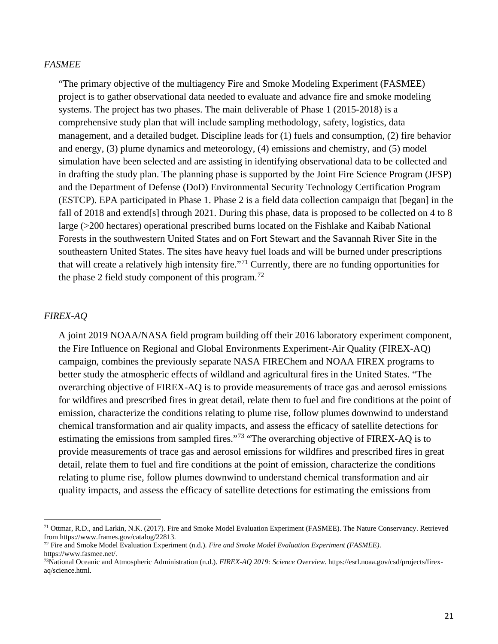#### *FASMEE*

"The primary objective of the multiagency Fire and Smoke Modeling Experiment (FASMEE) project is to gather observational data needed to evaluate and advance fire and smoke modeling systems. The project has two phases. The main deliverable of Phase 1 (2015-2018) is a comprehensive study plan that will include sampling methodology, safety, logistics, data management, and a detailed budget. Discipline leads for (1) fuels and consumption, (2) fire behavior and energy, (3) plume dynamics and meteorology, (4) emissions and chemistry, and (5) model simulation have been selected and are assisting in identifying observational data to be collected and in drafting the study plan. The planning phase is supported by the Joint Fire Science Program (JFSP) and the Department of Defense (DoD) Environmental Security Technology Certification Program (ESTCP). EPA participated in Phase 1. Phase 2 is a field data collection campaign that [began] in the fall of 2018 and extend[s] through 2021. During this phase, data is proposed to be collected on 4 to 8 large (>200 hectares) operational prescribed burns located on the Fishlake and Kaibab National Forests in the southwestern United States and on Fort Stewart and the Savannah River Site in the southeastern United States. The sites have heavy fuel loads and will be burned under prescriptions that will create a relatively high intensity fire."[71](#page-24-0) Currently, there are no funding opportunities for the phase 2 field study component of this program.<sup>[72](#page-24-1)</sup>

#### *FIREX-AQ*

 $\overline{\phantom{a}}$ 

A joint 2019 NOAA/NASA field program building off their 2016 laboratory experiment component, the Fire Influence on Regional and Global Environments Experiment-Air Quality (FIREX-AQ) campaign, combines the previously separate NASA FIREChem and NOAA FIREX programs to better study the atmospheric effects of wildland and agricultural fires in the United States. "The overarching objective of FIREX-AQ is to provide measurements of trace gas and aerosol emissions for wildfires and prescribed fires in great detail, relate them to fuel and fire conditions at the point of emission, characterize the conditions relating to plume rise, follow plumes downwind to understand chemical transformation and air quality impacts, and assess the efficacy of satellite detections for estimating the emissions from sampled fires."[73](#page-24-2) "The overarching objective of FIREX-AQ is to provide measurements of trace gas and aerosol emissions for wildfires and prescribed fires in great detail, relate them to fuel and fire conditions at the point of emission, characterize the conditions relating to plume rise, follow plumes downwind to understand chemical transformation and air quality impacts, and assess the efficacy of satellite detections for estimating the emissions from

<span id="page-24-0"></span><sup>&</sup>lt;sup>71</sup> Ottmar, R.D., and Larkin, N.K. (2017). Fire and Smoke Model Evaluation Experiment (FASMEE). The Nature Conservancy. Retrieved from https://www.frames.gov/catalog/22813.

<span id="page-24-1"></span><sup>72</sup> Fire and Smoke Model Evaluation Experiment (n.d.). *Fire and Smoke Model Evaluation Experiment (FASMEE)*. https://www.fasmee.net/.

<span id="page-24-2"></span><sup>73</sup>National Oceanic and Atmospheric Administration (n.d.). *FIREX-AQ 2019: Science Overview.* https://esrl.noaa.gov/csd/projects/firexaq/science.html.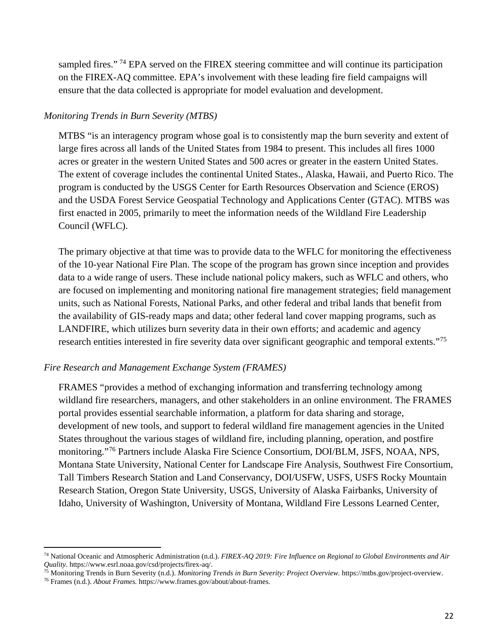sampled fires."<sup>[74](#page-25-0)</sup> EPA served on the FIREX steering committee and will continue its participation on the FIREX-AQ committee. EPA's involvement with these leading fire field campaigns will ensure that the data collected is appropriate for model evaluation and development.

#### *Monitoring Trends in Burn Severity (MTBS)*

MTBS "is an interagency program whose goal is to consistently map the burn severity and extent of large fires across all lands of the United States from 1984 to present. This includes all fires 1000 acres or greater in the western United States and 500 acres or greater in the eastern United States. The extent of coverage includes the continental United States., Alaska, Hawaii, and Puerto Rico. The program is conducted by the USGS Center for Earth Resources Observation and Science (EROS) and the USDA Forest Service Geospatial Technology and Applications Center (GTAC). MTBS was first enacted in 2005, primarily to meet the information needs of the Wildland Fire Leadership Council (WFLC).

The primary objective at that time was to provide data to the WFLC for monitoring the effectiveness of the 10-year National Fire Plan. The scope of the program has grown since inception and provides data to a wide range of users. These include national policy makers, such as WFLC and others, who are focused on implementing and monitoring national fire management strategies; field management units, such as National Forests, National Parks, and other federal and tribal lands that benefit from the availability of GIS-ready maps and data; other federal land cover mapping programs, such as LANDFIRE, which utilizes burn severity data in their own efforts; and academic and agency research entities interested in fire severity data over significant geographic and temporal extents."[75](#page-25-1)

#### *Fire Research and Management Exchange System (FRAMES)*

FRAMES "provides a method of exchanging information and transferring technology among wildland fire researchers, managers, and other stakeholders in an online environment. The FRAMES portal provides essential searchable information, a platform for data sharing and storage, development of new tools, and support to federal wildland fire management agencies in the United States throughout the various stages of wildland fire, including planning, operation, and postfire monitoring."[76](#page-25-2) Partners include Alaska Fire Science Consortium, DOI/BLM, JSFS, NOAA, NPS, Montana State University, National Center for Landscape Fire Analysis, Southwest Fire Consortium, Tall Timbers Research Station and Land Conservancy, DOI/USFW, USFS, USFS Rocky Mountain Research Station, Oregon State University, USGS, University of Alaska Fairbanks, University of Idaho, University of Washington, University of Montana, Wildland Fire Lessons Learned Center,

 $\overline{\phantom{a}}$ 

<span id="page-25-0"></span><sup>74</sup> National Oceanic and Atmospheric Administration (n.d.). *FIREX-AQ 2019: Fire Influence on Regional to Global Environments and Air Quality*. https://www.esrl.noaa.gov/csd/projects/firex-aq/.

<span id="page-25-1"></span><sup>75</sup> Monitoring Trends in Burn Severity (n.d.). *Monitoring Trends in Burn Severity: Project Overview.* https://mtbs.gov/project-overview.

<span id="page-25-2"></span><sup>76</sup> Frames (n.d.). *About Frames.* https://www.frames.gov/about/about-frames.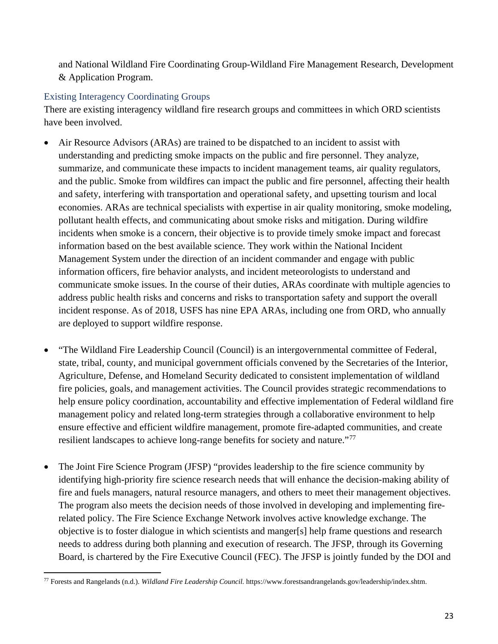and National Wildland Fire Coordinating Group-Wildland Fire Management Research, Development & Application Program.

# Existing Interagency Coordinating Groups

There are existing interagency wildland fire research groups and committees in which ORD scientists have been involved.

- Air Resource Advisors (ARAs) are trained to be dispatched to an incident to assist with understanding and predicting smoke impacts on the public and fire personnel. They analyze, summarize, and communicate these impacts to incident management teams, air quality regulators, and the public. Smoke from wildfires can impact the public and fire personnel, affecting their health and safety, interfering with transportation and operational safety, and upsetting tourism and local economies. ARAs are technical specialists with expertise in air quality monitoring, smoke modeling, pollutant health effects, and communicating about smoke risks and mitigation. During wildfire incidents when smoke is a concern, their objective is to provide timely smoke impact and forecast information based on the best available science. They work within the National Incident Management System under the direction of an incident commander and engage with public information officers, fire behavior analysts, and incident meteorologists to understand and communicate smoke issues. In the course of their duties, ARAs coordinate with multiple agencies to address public health risks and concerns and risks to transportation safety and support the overall incident response. As of 2018, USFS has nine EPA ARAs, including one from ORD, who annually are deployed to support wildfire response.
- "The Wildland Fire Leadership Council (Council) is an intergovernmental committee of Federal, state, tribal, county, and municipal government officials convened by the Secretaries of the Interior, Agriculture, Defense, and Homeland Security dedicated to consistent implementation of wildland fire policies, goals, and management activities. The Council provides strategic recommendations to help ensure policy coordination, accountability and effective implementation of Federal wildland fire management policy and related long-term strategies through a collaborative environment to help ensure effective and efficient wildfire management, promote fire-adapted communities, and create resilient landscapes to achieve long-range benefits for society and nature."<sup>[77](#page-26-0)</sup>
- The Joint Fire Science Program (JFSP) "provides leadership to the fire science community by identifying high-priority fire science research needs that will enhance the decision-making ability of fire and fuels managers, natural resource managers, and others to meet their management objectives. The program also meets the decision needs of those involved in developing and implementing firerelated policy. The Fire Science Exchange Network involves active knowledge exchange. The objective is to foster dialogue in which scientists and manger[s] help frame questions and research needs to address during both planning and execution of research. The JFSP, through its Governing Board, is chartered by the Fire Executive Council (FEC). The JFSP is jointly funded by the DOI and

<span id="page-26-0"></span> $\overline{\phantom{a}}$ <sup>77</sup> Forests and Rangelands (n.d.). *Wildland Fire Leadership Council.* https://www.forestsandrangelands.gov/leadership/index.shtm.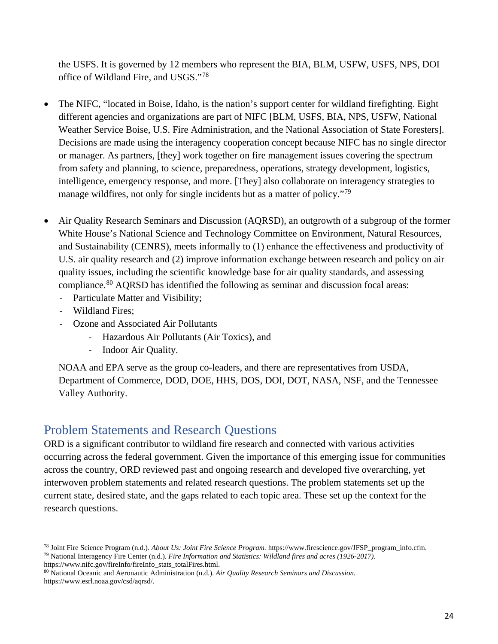the USFS. It is governed by 12 members who represent the BIA, BLM, USFW, USFS, NPS, DOI office of Wildland Fire, and USGS."[78](#page-27-1)

- The NIFC, "located in Boise, Idaho, is the nation's support center for wildland firefighting. Eight different agencies and organizations are part of NIFC [BLM, USFS, BIA, NPS, USFW, National Weather Service Boise, U.S. Fire Administration, and the National Association of State Foresters]. Decisions are made using the interagency cooperation concept because NIFC has no single director or manager. As partners, [they] work together on fire management issues covering the spectrum from safety and planning, to science, preparedness, operations, strategy development, logistics, intelligence, emergency response, and more. [They] also collaborate on interagency strategies to manage wildfires, not only for single incidents but as a matter of policy."<sup>[79](#page-27-2)</sup>
- Air Quality Research Seminars and Discussion (AQRSD), an outgrowth of a subgroup of the former White House's National Science and Technology Committee on Environment, Natural Resources, and Sustainability (CENRS), meets informally to (1) enhance the effectiveness and productivity of U.S. air quality research and (2) improve information exchange between research and policy on air quality issues, including the scientific knowledge base for air quality standards, and assessing compliance.<sup>[80](#page-27-3)</sup> AQRSD has identified the following as seminar and discussion focal areas:
	- Particulate Matter and Visibility;
	- Wildland Fires;

l

- Ozone and Associated Air Pollutants
	- Hazardous Air Pollutants (Air Toxics), and
	- Indoor Air Quality.

<span id="page-27-0"></span>NOAA and EPA serve as the group co-leaders, and there are representatives from USDA, Department of Commerce, DOD, DOE, HHS, DOS, DOI, DOT, NASA, NSF, and the Tennessee Valley Authority.

# Problem Statements and Research Questions

ORD is a significant contributor to wildland fire research and connected with various activities occurring across the federal government. Given the importance of this emerging issue for communities across the country, ORD reviewed past and ongoing research and developed five overarching, yet interwoven problem statements and related research questions. The problem statements set up the current state, desired state, and the gaps related to each topic area. These set up the context for the research questions.

<span id="page-27-2"></span><span id="page-27-1"></span><sup>78</sup> Joint Fire Science Program (n.d.). *About Us: Joint Fire Science Program.* https://www.firescience.gov/JFSP\_program\_info.cfm. <sup>79</sup> National Interagency Fire Center (n.d.). *Fire Information and Statistics: Wildland fires and acres (1926-2017)*. https://www.nifc.gov/fireInfo/fireInfo\_stats\_totalFires.html.

<span id="page-27-3"></span><sup>80</sup> National Oceanic and Aeronautic Administration (n.d.). *Air Quality Research Seminars and Discussion.* https://www.esrl.noaa.gov/csd/aqrsd/.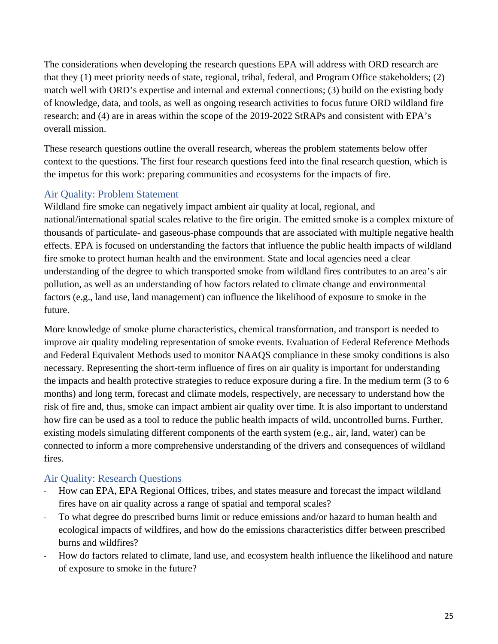The considerations when developing the research questions EPA will address with ORD research are that they (1) meet priority needs of state, regional, tribal, federal, and Program Office stakeholders; (2) match well with ORD's expertise and internal and external connections; (3) build on the existing body of knowledge, data, and tools, as well as ongoing research activities to focus future ORD wildland fire research; and (4) are in areas within the scope of the 2019-2022 StRAPs and consistent with EPA's overall mission.

These research questions outline the overall research, whereas the problem statements below offer context to the questions. The first four research questions feed into the final research question, which is the impetus for this work: preparing communities and ecosystems for the impacts of fire.

# <span id="page-28-0"></span>Air Quality: Problem Statement

Wildland fire smoke can negatively impact ambient air quality at local, regional, and national/international spatial scales relative to the fire origin. The emitted smoke is a complex mixture of thousands of particulate- and gaseous-phase compounds that are associated with multiple negative health effects. EPA is focused on understanding the factors that influence the public health impacts of wildland fire smoke to protect human health and the environment. State and local agencies need a clear understanding of the degree to which transported smoke from wildland fires contributes to an area's air pollution, as well as an understanding of how factors related to climate change and environmental factors (e.g., land use, land management) can influence the likelihood of exposure to smoke in the future.

More knowledge of smoke plume characteristics, chemical transformation, and transport is needed to improve air quality modeling representation of smoke events. Evaluation of Federal Reference Methods and Federal Equivalent Methods used to monitor NAAQS compliance in these smoky conditions is also necessary. Representing the short-term influence of fires on air quality is important for understanding the impacts and health protective strategies to reduce exposure during a fire. In the medium term (3 to 6 months) and long term, forecast and climate models, respectively, are necessary to understand how the risk of fire and, thus, smoke can impact ambient air quality over time. It is also important to understand how fire can be used as a tool to reduce the public health impacts of wild, uncontrolled burns. Further, existing models simulating different components of the earth system (e.g., air, land, water) can be connected to inform a more comprehensive understanding of the drivers and consequences of wildland fires.

# <span id="page-28-1"></span>Air Quality: Research Questions

- How can EPA, EPA Regional Offices, tribes, and states measure and forecast the impact wildland fires have on air quality across a range of spatial and temporal scales?
- To what degree do prescribed burns limit or reduce emissions and/or hazard to human health and ecological impacts of wildfires, and how do the emissions characteristics differ between prescribed burns and wildfires?
- How do factors related to climate, land use, and ecosystem health influence the likelihood and nature of exposure to smoke in the future?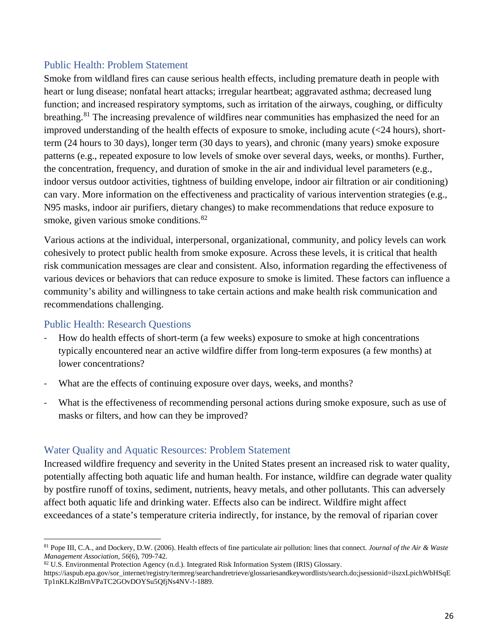# <span id="page-29-0"></span>Public Health: Problem Statement

Smoke from wildland fires can cause serious health effects, including premature death in people with heart or lung disease; nonfatal heart attacks; irregular heartbeat; aggravated asthma; decreased lung function; and increased respiratory symptoms, such as irritation of the airways, coughing, or difficulty breathing.[81](#page-29-3) The increasing prevalence of wildfires near communities has emphasized the need for an improved understanding of the health effects of exposure to smoke, including acute (<24 hours), shortterm (24 hours to 30 days), longer term (30 days to years), and chronic (many years) smoke exposure patterns (e.g., repeated exposure to low levels of smoke over several days, weeks, or months). Further, the concentration, frequency, and duration of smoke in the air and individual level parameters (e.g., indoor versus outdoor activities, tightness of building envelope, indoor air filtration or air conditioning) can vary. More information on the effectiveness and practicality of various intervention strategies (e.g., N95 masks, indoor air purifiers, dietary changes) to make recommendations that reduce exposure to smoke, given various smoke conditions.<sup>[82](#page-29-4)</sup>

Various actions at the individual, interpersonal, organizational, community, and policy levels can work cohesively to protect public health from smoke exposure. Across these levels, it is critical that health risk communication messages are clear and consistent. Also, information regarding the effectiveness of various devices or behaviors that can reduce exposure to smoke is limited. These factors can influence a community's ability and willingness to take certain actions and make health risk communication and recommendations challenging.

# <span id="page-29-1"></span>Public Health: Research Questions

- How do health effects of short-term (a few weeks) exposure to smoke at high concentrations typically encountered near an active wildfire differ from long-term exposures (a few months) at lower concentrations?
- What are the effects of continuing exposure over days, weeks, and months?
- What is the effectiveness of recommending personal actions during smoke exposure, such as use of masks or filters, and how can they be improved?

# <span id="page-29-2"></span>Water Quality and Aquatic Resources: Problem Statement

Increased wildfire frequency and severity in the United States present an increased risk to water quality, potentially affecting both aquatic life and human health. For instance, wildfire can degrade water quality by postfire runoff of toxins, sediment, nutrients, heavy metals, and other pollutants. This can adversely affect both aquatic life and drinking water. Effects also can be indirect. Wildfire might affect exceedances of a state's temperature criteria indirectly, for instance, by the removal of riparian cover

<span id="page-29-3"></span>l <sup>81</sup> Pope III, C.A., and Dockery, D.W. (2006). Health effects of fine particulate air pollution: lines that connect. *Journal of the Air & Waste Management Association*, *56*(6), 709-742.

<span id="page-29-4"></span><sup>82</sup> U.S. Environmental Protection Agency (n.d.). Integrated Risk Information System (IRIS) Glossary.

https://iaspub.epa.gov/sor\_internet/registry/termreg/searchandretrieve/glossariesandkeywordlists/search.do;jsessionid=ilszxLpichWbHSqE Tp1nKLKzlBrnVPaTC2GOvDOYSu5QfjNs4NV-!-1889.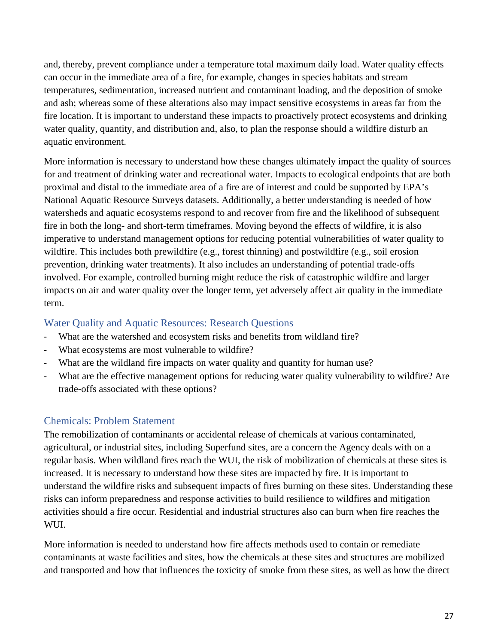and, thereby, prevent compliance under a temperature total maximum daily load. Water quality effects can occur in the immediate area of a fire, for example, changes in species habitats and stream temperatures, sedimentation, increased nutrient and contaminant loading, and the deposition of smoke and ash; whereas some of these alterations also may impact sensitive ecosystems in areas far from the fire location. It is important to understand these impacts to proactively protect ecosystems and drinking water quality, quantity, and distribution and, also, to plan the response should a wildfire disturb an aquatic environment.

More information is necessary to understand how these changes ultimately impact the quality of sources for and treatment of drinking water and recreational water. Impacts to ecological endpoints that are both proximal and distal to the immediate area of a fire are of interest and could be supported by EPA's National Aquatic Resource Surveys datasets. Additionally, a better understanding is needed of how watersheds and aquatic ecosystems respond to and recover from fire and the likelihood of subsequent fire in both the long- and short-term timeframes. Moving beyond the effects of wildfire, it is also imperative to understand management options for reducing potential vulnerabilities of water quality to wildfire. This includes both prewildfire (e.g., forest thinning) and postwildfire (e.g., soil erosion prevention, drinking water treatments). It also includes an understanding of potential trade-offs involved. For example, controlled burning might reduce the risk of catastrophic wildfire and larger impacts on air and water quality over the longer term, yet adversely affect air quality in the immediate term.

# <span id="page-30-0"></span>Water Quality and Aquatic Resources: Research Questions

- What are the watershed and ecosystem risks and benefits from wildland fire?
- What ecosystems are most vulnerable to wildfire?
- What are the wildland fire impacts on water quality and quantity for human use?
- What are the effective management options for reducing water quality vulnerability to wildfire? Are trade-offs associated with these options?

# <span id="page-30-1"></span>Chemicals: Problem Statement

The remobilization of contaminants or accidental release of chemicals at various contaminated, agricultural, or industrial sites, including Superfund sites, are a concern the Agency deals with on a regular basis. When wildland fires reach the WUI, the risk of mobilization of chemicals at these sites is increased. It is necessary to understand how these sites are impacted by fire. It is important to understand the wildfire risks and subsequent impacts of fires burning on these sites. Understanding these risks can inform preparedness and response activities to build resilience to wildfires and mitigation activities should a fire occur. Residential and industrial structures also can burn when fire reaches the WUI.

More information is needed to understand how fire affects methods used to contain or remediate contaminants at waste facilities and sites, how the chemicals at these sites and structures are mobilized and transported and how that influences the toxicity of smoke from these sites, as well as how the direct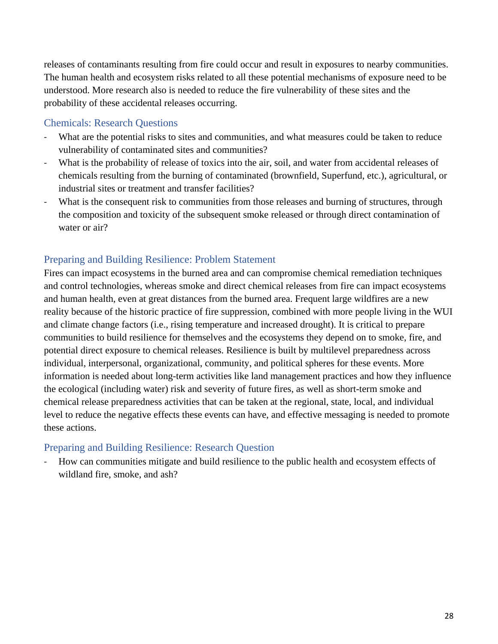releases of contaminants resulting from fire could occur and result in exposures to nearby communities. The human health and ecosystem risks related to all these potential mechanisms of exposure need to be understood. More research also is needed to reduce the fire vulnerability of these sites and the probability of these accidental releases occurring.

# <span id="page-31-0"></span>Chemicals: Research Questions

- What are the potential risks to sites and communities, and what measures could be taken to reduce vulnerability of contaminated sites and communities?
- What is the probability of release of toxics into the air, soil, and water from accidental releases of chemicals resulting from the burning of contaminated (brownfield, Superfund, etc.), agricultural, or industrial sites or treatment and transfer facilities?
- What is the consequent risk to communities from those releases and burning of structures, through the composition and toxicity of the subsequent smoke released or through direct contamination of water or air?

# <span id="page-31-1"></span>Preparing and Building Resilience: Problem Statement

Fires can impact ecosystems in the burned area and can compromise chemical remediation techniques and control technologies, whereas smoke and direct chemical releases from fire can impact ecosystems and human health, even at great distances from the burned area. Frequent large wildfires are a new reality because of the historic practice of fire suppression, combined with more people living in the WUI and climate change factors (i.e., rising temperature and increased drought). It is critical to prepare communities to build resilience for themselves and the ecosystems they depend on to smoke, fire, and potential direct exposure to chemical releases. Resilience is built by multilevel preparedness across individual, interpersonal, organizational, community, and political spheres for these events. More information is needed about long-term activities like land management practices and how they influence the ecological (including water) risk and severity of future fires, as well as short-term smoke and chemical release preparedness activities that can be taken at the regional, state, local, and individual level to reduce the negative effects these events can have, and effective messaging is needed to promote these actions.

# <span id="page-31-2"></span>Preparing and Building Resilience: Research Question

<span id="page-31-3"></span>- How can communities mitigate and build resilience to the public health and ecosystem effects of wildland fire, smoke, and ash?